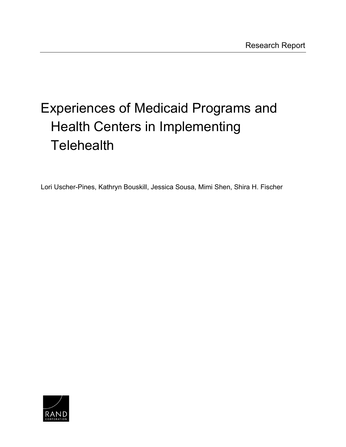# Experiences of Medicaid Programs and Health Centers in Implementing **Telehealth**

Lori Uscher-Pines, Kathryn Bouskill, Jessica Sousa, Mimi Shen, Shira H. Fischer

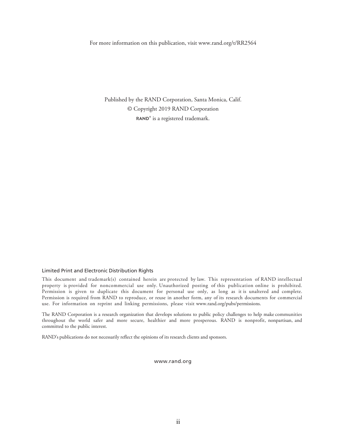For more information on this publication, visit [www.rand.org/t/RR2564](http://www.rand.org/t/RR2564) 

Published by the RAND Corporation, Santa Monica, Calif. © Copyright 2019 RAND Corporation RAND<sup>®</sup> is a registered trademark.

#### Limited Print and Electronic Distribution Rights

 This document and trademark(s) contained herein are protected by law. This representation of RAND intellectual property is provided for noncommercial use only. Unauthorized posting of this publication online is prohibited. Permission is given to duplicate this document for personal use only, as long as it is unaltered and complete. Permission is required from RAND to reproduce, or reuse in another form, any of its research documents for commercial use. For information on reprint and linking permissions, please visit [www.rand.org/pubs/permissions.](http://www.rand.org/pubs/permissions)

 The RAND Corporation is a research organization that develops solutions to public policy challenges to help make communities throughout the world safer and more secure, healthier and more prosperous. RAND is nonprofit, nonpartisan, and committed to the public interest.

RAND's publications do not necessarily reflect the opinions of its research clients and sponsors.

[www.rand.org](http://www.rand.org)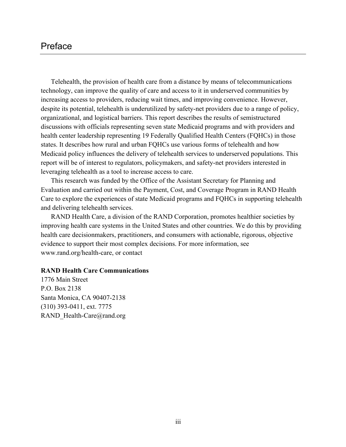## Preface

 Telehealth, the provision of health care from a distance by means of telecommunications health center leadership representing 19 Federally Qualified Health Centers (FQHCs) in those report will be of interest to regulators, policymakers, and safety-net providers interested in technology, can improve the quality of care and access to it in underserved communities by increasing access to providers, reducing wait times, and improving convenience. However, despite its potential, telehealth is underutilized by safety-net providers due to a range of policy, organizational, and logistical barriers. This report describes the results of semistructured discussions with officials representing seven state Medicaid programs and with providers and states. It describes how rural and urban FQHCs use various forms of telehealth and how Medicaid policy influences the delivery of telehealth services to underserved populations. This leveraging telehealth as a tool to increase access to care.

This research was funded by the Office of the Assistant Secretary for Planning and Evaluation and carried out within the Payment, Cost, and Coverage Program in RAND Health Care to explore the experiences of state Medicaid programs and FQHCs in supporting telehealth and delivering telehealth services.

RAND Health Care, a division of the RAND Corporation, promotes healthier societies by improving health care systems in the United States and other countries. We do this by providing health care decisionmakers, practitioners, and consumers with actionable, rigorous, objective evidence to support their most complex decisions. For more information, see [www.rand.org/health-care](http://www.rand.org/health-care), or contact

#### **RAND Health Care Communications**

1776 Main Street P.O. Box 2138 Santa Monica, CA 90407-2138 (310) 393-0411, ext. 7775 RAND Health-Care@rand.org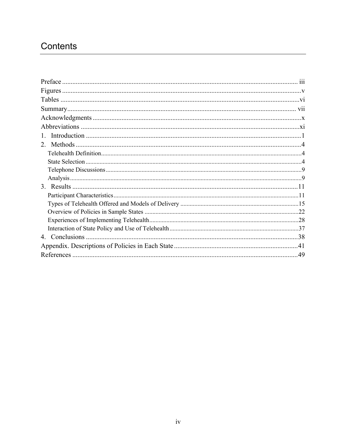## Contents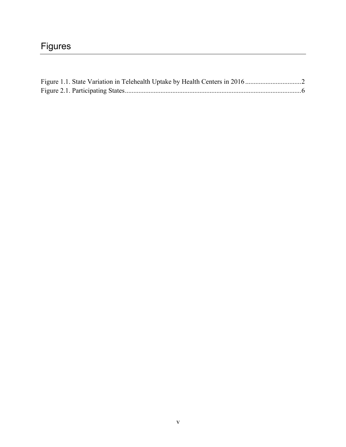## Figures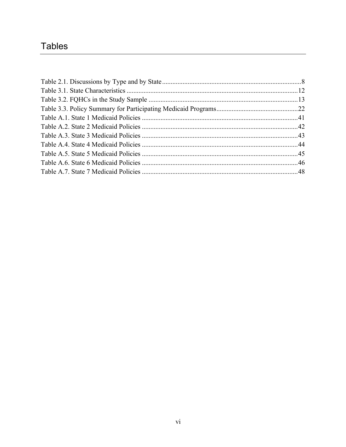## **Tables**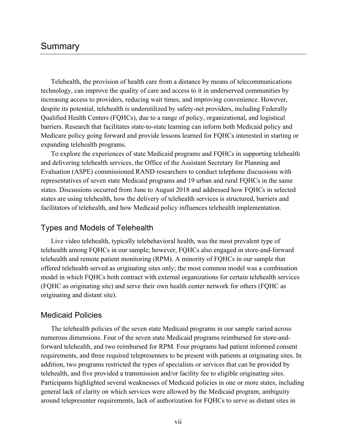## Summary

Telehealth, the provision of health care from a distance by means of telecommunications technology, can improve the quality of care and access to it in underserved communities by increasing access to providers, reducing wait times, and improving convenience. However, despite its potential, telehealth is underutilized by safety-net providers, including Federally Qualified Health Centers (FQHCs), due to a range of policy, organizational, and logistical barriers. Research that facilitates state-to-state learning can inform both Medicaid policy and Medicare policy going forward and provide lessons learned for FQHCs interested in starting or expanding telehealth programs.

 Evaluation (ASPE) commissioned RAND researchers to conduct telephone discussions with To explore the experiences of state Medicaid programs and FQHCs in supporting telehealth and delivering telehealth services, the Office of the Assistant Secretary for Planning and representatives of seven state Medicaid programs and 19 urban and rural FQHCs in the same states. Discussions occurred from June to August 2018 and addressed how FQHCs in selected states are using telehealth, how the delivery of telehealth services is structured, barriers and facilitators of telehealth, and how Medicaid policy influences telehealth implementation.

#### Types and Models of Telehealth

 (FQHC as originating site) and serve their own health center network for others (FQHC as Live video telehealth, typically telebehavioral health, was the most prevalent type of telehealth among FQHCs in our sample; however, FQHCs also engaged in store-and-forward telehealth and remote patient monitoring (RPM). A minority of FQHCs in our sample that offered telehealth served as originating sites only; the most common model was a combination model in which FQHCs both contract with external organizations for certain telehealth services originating and distant site).

#### Medicaid Policies

 telehealth, and five provided a transmission and/or facility fee to eligible originating sites. The telehealth policies of the seven state Medicaid programs in our sample varied across numerous dimensions. Four of the seven state Medicaid programs reimbursed for store-andforward telehealth, and two reimbursed for RPM. Four programs had patient informed consent requirements, and three required telepresenters to be present with patients at originating sites. In addition, two programs restricted the types of specialists or services that can be provided by Participants highlighted several weaknesses of Medicaid policies in one or more states, including general lack of clarity on which services were allowed by the Medicaid program, ambiguity around telepresenter requirements, lack of authorization for FQHCs to serve as distant sites in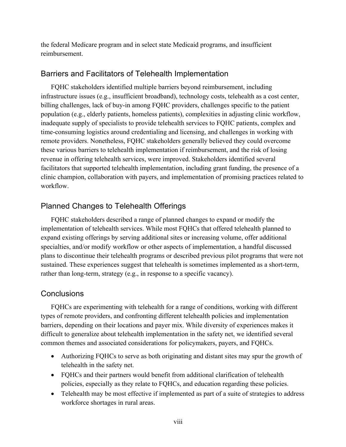the federal Medicare program and in select state Medicaid programs, and insufficient reimbursement.

## Barriers and Facilitators of Telehealth Implementation

 workflow. FQHC stakeholders identified multiple barriers beyond reimbursement, including infrastructure issues (e.g., insufficient broadband), technology costs, telehealth as a cost center, billing challenges, lack of buy-in among FQHC providers, challenges specific to the patient population (e.g., elderly patients, homeless patients), complexities in adjusting clinic workflow, inadequate supply of specialists to provide telehealth services to FQHC patients, complex and time-consuming logistics around credentialing and licensing, and challenges in working with remote providers. Nonetheless, FQHC stakeholders generally believed they could overcome these various barriers to telehealth implementation if reimbursement, and the risk of losing revenue in offering telehealth services, were improved. Stakeholders identified several facilitators that supported telehealth implementation, including grant funding, the presence of a clinic champion, collaboration with payers, and implementation of promising practices related to

## Planned Changes to Telehealth Offerings

 plans to discontinue their telehealth programs or described previous pilot programs that were not FQHC stakeholders described a range of planned changes to expand or modify the implementation of telehealth services. While most FQHCs that offered telehealth planned to expand existing offerings by serving additional sites or increasing volume, offer additional specialties, and/or modify workflow or other aspects of implementation, a handful discussed sustained. These experiences suggest that telehealth is sometimes implemented as a short-term, rather than long-term, strategy (e.g., in response to a specific vacancy).

## **Conclusions**

FQHCs are experimenting with telehealth for a range of conditions, working with different types of remote providers, and confronting different telehealth policies and implementation barriers, depending on their locations and payer mix. While diversity of experiences makes it difficult to generalize about telehealth implementation in the safety net, we identified several common themes and associated considerations for policymakers, payers, and FQHCs.

- Authorizing FQHCs to serve as both originating and distant sites may spur the growth of telehealth in the safety net.
- FQHCs and their partners would benefit from additional clarification of telehealth policies, especially as they relate to FQHCs, and education regarding these policies.
- Telehealth may be most effective if implemented as part of a suite of strategies to address workforce shortages in rural areas.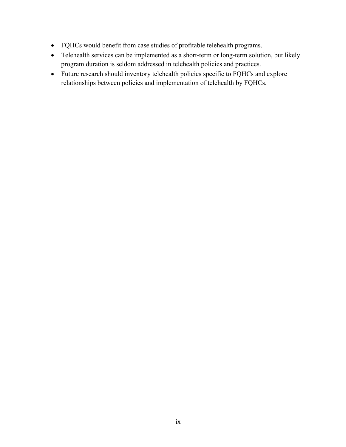- • FQHCs would benefit from case studies of profitable telehealth programs.
- Telehealth services can be implemented as a short-term or long-term solution, but likely program duration is seldom addressed in telehealth policies and practices.
- • Future research should inventory telehealth policies specific to FQHCs and explore relationships between policies and implementation of telehealth by FQHCs.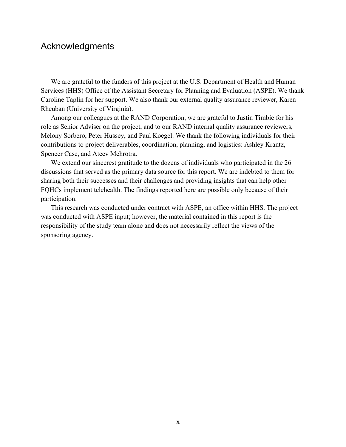## Acknowledgments

We are grateful to the funders of this project at the U.S. Department of Health and Human Services (HHS) Office of the Assistant Secretary for Planning and Evaluation (ASPE). We thank Caroline Taplin for her support. We also thank our external quality assurance reviewer, Karen Rheuban (University of Virginia).

Among our colleagues at the RAND Corporation, we are grateful to Justin Timbie for his role as Senior Adviser on the project, and to our RAND internal quality assurance reviewers, Melony Sorbero, Peter Hussey, and Paul Koegel. We thank the following individuals for their contributions to project deliverables, coordination, planning, and logistics: Ashley Krantz, Spencer Case, and Ateev Mehrotra.

 sharing both their successes and their challenges and providing insights that can help other FQHCs implement telehealth. The findings reported here are possible only because of their We extend our sincerest gratitude to the dozens of individuals who participated in the 26 discussions that served as the primary data source for this report. We are indebted to them for participation.

This research was conducted under contract with ASPE, an office within HHS. The project was conducted with ASPE input; however, the material contained in this report is the responsibility of the study team alone and does not necessarily reflect the views of the sponsoring agency.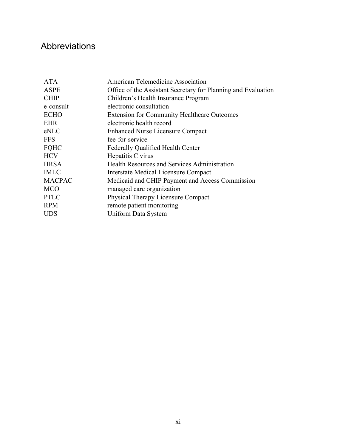## Abbreviations

| American Telemedicine Association                             |
|---------------------------------------------------------------|
| Office of the Assistant Secretary for Planning and Evaluation |
| Children's Health Insurance Program                           |
| electronic consultation                                       |
| <b>Extension for Community Healthcare Outcomes</b>            |
| electronic health record                                      |
| <b>Enhanced Nurse Licensure Compact</b>                       |
| fee-for-service                                               |
| Federally Qualified Health Center                             |
| Hepatitis C virus                                             |
| <b>Health Resources and Services Administration</b>           |
| Interstate Medical Licensure Compact                          |
| Medicaid and CHIP Payment and Access Commission               |
| managed care organization                                     |
| Physical Therapy Licensure Compact                            |
| remote patient monitoring                                     |
| Uniform Data System                                           |
|                                                               |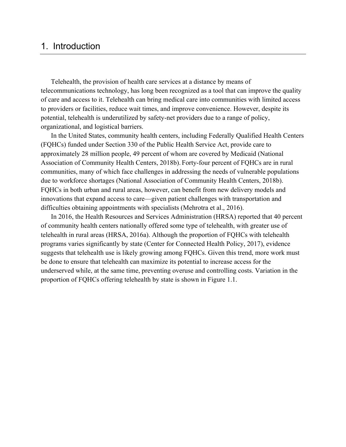## 1. Introduction

 Telehealth, the provision of health care services at a distance by means of telecommunications technology, has long been recognized as a tool that can improve the quality of care and access to it. Telehealth can bring medical care into communities with limited access to providers or facilities, reduce wait times, and improve convenience. However, despite its potential, telehealth is underutilized by safety-net providers due to a range of policy, organizational, and logistical barriers.

 In the United States, community health centers, including Federally Qualified Health Centers approximately 28 million people, 49 percent of whom are covered by Medicaid (National difficulties obtaining appointments with specialists (Mehrotra et al., 2016). difficulties obtaining appointments with specialists (Mehrotra et al., 2016). In 2016, the Health Resources and Services Administration (HRSA) reported that 40 percent (FQHCs) funded under Section 330 of the Public Health Service Act, provide care to Association of Community Health Centers, 2018b). Forty-four percent of FQHCs are in rural communities, many of which face challenges in addressing the needs of vulnerable populations due to workforce shortages (National Association of Community Health Centers, 2018b). FQHCs in both urban and rural areas, however, can benefit from new delivery models and innovations that expand access to care—given patient challenges with transportation and

 proportion of FQHCs offering telehealth by state is shown in Figure 1.1. of community health centers nationally offered some type of telehealth, with greater use of telehealth in rural areas (HRSA, 2016a). Although the proportion of FQHCs with telehealth programs varies significantly by state (Center for Connected Health Policy, 2017), evidence suggests that telehealth use is likely growing among FQHCs. Given this trend, more work must be done to ensure that telehealth can maximize its potential to increase access for the underserved while, at the same time, preventing overuse and controlling costs. Variation in the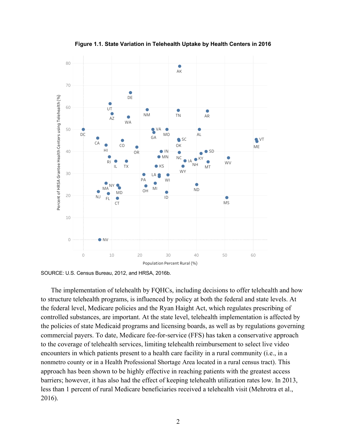

**Figure 1.1. State Variation in Telehealth Uptake by Health Centers in 2016**

SOURCE: U.S. Census Bureau, 2012, and HRSA, 2016b.

 the policies of state Medicaid programs and licensing boards, as well as by regulations governing encounters in which patients present to a health care facility in a rural community (i.e., in a less than 1 percent of rural Medicare beneficiaries received a telehealth visit (Mehrotra et al.,  $2016$ ). The implementation of telehealth by FQHCs, including decisions to offer telehealth and how to structure telehealth programs, is influenced by policy at both the federal and state levels. At the federal level, Medicare policies and the Ryan Haight Act, which regulates prescribing of controlled substances, are important. At the state level, telehealth implementation is affected by commercial payers. To date, Medicare fee-for-service (FFS) has taken a conservative approach to the coverage of telehealth services, limiting telehealth reimbursement to select live video nonmetro county or in a Health Professional Shortage Area located in a rural census tract). This approach has been shown to be highly effective in reaching patients with the greatest access barriers; however, it has also had the effect of keeping telehealth utilization rates low. In 2013, 2016). 2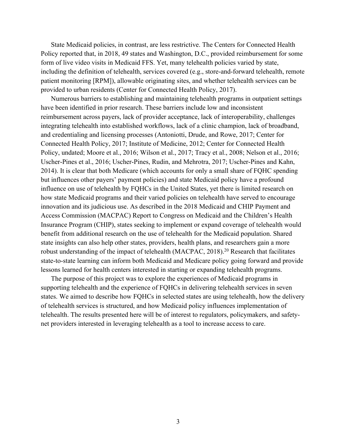Policy reported that, in 2018, 49 states and Washington, D.C., provided reimbursement for some provided to urban residents (Center for Connected Health Policy, 2017). State Medicaid policies, in contrast, are less restrictive. The Centers for Connected Health form of live video visits in Medicaid FFS. Yet, many telehealth policies varied by state, including the definition of telehealth, services covered (e.g., store-and-forward telehealth, remote patient monitoring [RPM]), allowable originating sites, and whether telehealth services can be

 integrating telehealth into established workflows, lack of a clinic champion, lack of broadband, 2014). It is clear that both Medicare (which accounts for only a small share of FQHC spending state insights can also help other states, providers, health plans, and researchers gain a more lessons learned for health centers interested in starting or expanding telehealth programs. Numerous barriers to establishing and maintaining telehealth programs in outpatient settings have been identified in prior research. These barriers include low and inconsistent reimbursement across payers, lack of provider acceptance, lack of interoperability, challenges and credentialing and licensing processes (Antoniotti, Drude, and Rowe, 2017; Center for Connected Health Policy, 2017; Institute of Medicine, 2012; Center for Connected Health Policy, undated; Moore et al., 2016; Wilson et al., 2017; Tracy et al., 2008; Nelson et al., 2016; Uscher-Pines et al., 2016; Uscher-Pines, Rudin, and Mehrotra, 2017; Uscher-Pines and Kahn, but influences other payers' payment policies) and state Medicaid policy have a profound influence on use of telehealth by FQHCs in the United States, yet there is limited research on how state Medicaid programs and their varied policies on telehealth have served to encourage innovation and its judicious use. As described in the 2018 Medicaid and CHIP Payment and Access Commission (MACPAC) Report to Congress on Medicaid and the Children's Health Insurance Program (CHIP), states seeking to implement or expand coverage of telehealth would benefit from additional research on the use of telehealth for the Medicaid population. Shared robust understanding of the impact of telehealth (MACPAC, 2018).<sup>20</sup> Research that facilitates state-to-state learning can inform both Medicaid and Medicare policy going forward and provide

The purpose of this project was to explore the experiences of Medicaid programs in supporting telehealth and the experience of FQHCs in delivering telehealth services in seven states. We aimed to describe how FQHCs in selected states are using telehealth, how the delivery of telehealth services is structured, and how Medicaid policy influences implementation of telehealth. The results presented here will be of interest to regulators, policymakers, and safetynet providers interested in leveraging telehealth as a tool to increase access to care.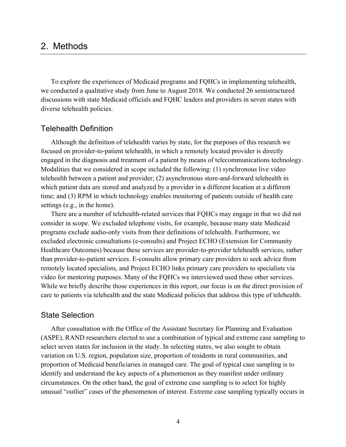## 2. Methods

To explore the experiences of Medicaid programs and FQHCs in implementing telehealth, we conducted a qualitative study from June to August 2018. We conducted 26 semistructured discussions with state Medicaid officials and FQHC leaders and providers in seven states with diverse telehealth policies.

#### Telehealth Definition

 Although the definition of telehealth varies by state, for the purposes of this research we Modalities that we considered in scope included the following: (1) synchronous live video which patient data are stored and analyzed by a provider in a different location at a different time; and (3) RPM in which technology enables monitoring of patients outside of health care focused on provider-to-patient telehealth, in which a remotely located provider is directly engaged in the diagnosis and treatment of a patient by means of telecommunications technology. telehealth between a patient and provider; (2) asynchronous store-and-forward telehealth in settings (e.g., in the home).

 remotely located specialists, and Project ECHO links primary care providers to specialists via video for mentoring purposes. Many of the FQHCs we interviewed used these other services. care to patients via telehealth and the state Medicaid policies that address this type of telehealth. There are a number of telehealth-related services that FQHCs may engage in that we did not consider in scope. We excluded telephone visits, for example, because many state Medicaid programs exclude audio-only visits from their definitions of telehealth. Furthermore, we excluded electronic consultations (e-consults) and Project ECHO (Extension for Community Healthcare Outcomes) because these services are provider-to-provider telehealth services, rather than provider-to-patient services. E-consults allow primary care providers to seek advice from While we briefly describe those experiences in this report, our focus is on the direct provision of

#### State Selection

 (ASPE), RAND researchers elected to use a combination of typical and extreme case sampling to select seven states for inclusion in the study. In selecting states, we also sought to obtain unusual "outlier" cases of the phenomenon of interest. Extreme case sampling typically occurs in After consultation with the Office of the Assistant Secretary for Planning and Evaluation variation on U.S. region, population size, proportion of residents in rural communities, and proportion of Medicaid beneficiaries in managed care. The goal of typical case sampling is to identify and understand the key aspects of a phenomenon as they manifest under ordinary circumstances. On the other hand, the goal of extreme case sampling is to select for highly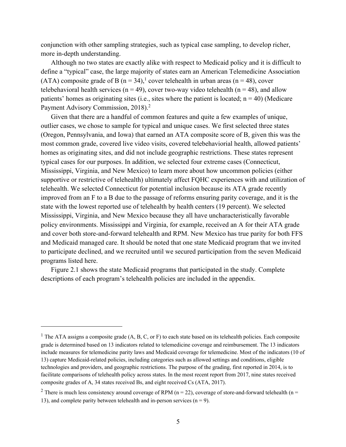conjunction with other sampling strategies, such as typical case sampling, to develop richer, more in-depth understanding.

 define a "typical" case, the large majority of states earn an American Telemedicine Association (ATA) composite grade of B ( $n = 34$ ),<sup>1</sup> cover telehealth in urban areas ( $n = 48$ ), cover telebehavioral health services ( $n = 49$ ), cover two-way video telehealth ( $n = 48$ ), and allow patients' homes as originating sites (i.e., sites where the patient is located;  $n = 40$ ) (Medicare Payment Advisory Commission, 2018).<sup>2</sup> Although no two states are exactly alike with respect to Medicaid policy and it is difficult to

 Mississippi, Virginia, and New Mexico) to learn more about how uncommon policies (either state with the lowest reported use of telehealth by health centers (19 percent). We selected Mississippi, Virginia, and New Mexico because they all have uncharacteristically favorable policy environments. Mississippi and Virginia, for example, received an A for their ATA grade and cover both store-and-forward telehealth and RPM. New Mexico has true parity for both FFS to participate declined, and we recruited until we secured participation from the seven Medicaid Given that there are a handful of common features and quite a few examples of unique, outlier cases, we chose to sample for typical and unique cases. We first selected three states (Oregon, Pennsylvania, and Iowa) that earned an ATA composite score of B, given this was the most common grade, covered live video visits, covered telebehaviorial health, allowed patients' homes as originating sites, and did not include geographic restrictions. These states represent typical cases for our purposes. In addition, we selected four extreme cases (Connecticut, supportive or restrictive of telehealth) ultimately affect FQHC experiences with and utilization of telehealth. We selected Connecticut for potential inclusion because its ATA grade recently improved from an F to a B due to the passage of reforms ensuring parity coverage, and it is the and Medicaid managed care. It should be noted that one state Medicaid program that we invited programs listed here.

 Figure 2.1 shows the state Medicaid programs that participated in the study. Complete descriptions of each program's telehealth policies are included in the appendix.

 $\overline{a}$ 

<sup>&</sup>lt;sup>1</sup> The ATA assigns a composite grade  $(A, B, C, or F)$  to each state based on its telehealth policies. Each composite grade is determined based on 13 indicators related to telemedicine coverage and reimbursement. The 13 indicators include measures for telemedicine parity laws and Medicaid coverage for telemedicine. Most of the indicators (10 of 13) capture Medicaid-related policies, including categories such as allowed settings and conditions, eligible technologies and providers, and geographic restrictions. The purpose of the grading, first reported in 2014, is to facilitate comparisons of telehealth policy across states. In the most recent report from 2017, nine states received composite grades of A, 34 states received Bs, and eight received Cs (ATA, 2017).

<sup>&</sup>lt;sup>2</sup> There is much less consistency around coverage of RPM ( $n = 22$ ), coverage of store-and-forward telehealth ( $n =$ 13), and complete parity between telehealth and in-person services  $(n = 9)$ .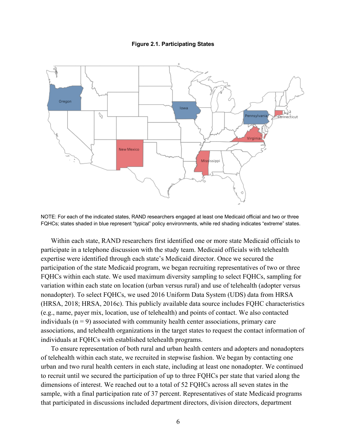#### **Figure 2.1. Participating States**



 FQHCs; states shaded in blue represent "typical" policy environments, while red shading indicates "extreme" states. NOTE: For each of the indicated states, RAND researchers engaged at least one Medicaid official and two or three

 Within each state, RAND researchers first identified one or more state Medicaid officials to (e.g., name, payer mix, location, use of telehealth) and points of contact. We also contacted individuals  $(n = 9)$  associated with community health center associations, primary care participate in a telephone discussion with the study team. Medicaid officials with telehealth expertise were identified through each state's Medicaid director. Once we secured the participation of the state Medicaid program, we began recruiting representatives of two or three FQHCs within each state. We used maximum diversity sampling to select FQHCs, sampling for variation within each state on location (urban versus rural) and use of telehealth (adopter versus nonadopter). To select FQHCs, we used 2016 Uniform Data System (UDS) data from HRSA (HRSA, 2018; HRSA, 2016c). This publicly available data source includes FQHC characteristics associations, and telehealth organizations in the target states to request the contact information of individuals at FQHCs with established telehealth programs.

 dimensions of interest. We reached out to a total of 52 FQHCs across all seven states in the sample, with a final participation rate of 37 percent. Representatives of state Medicaid programs that participated in discussions included department directors, division directors, department To ensure representation of both rural and urban health centers and adopters and nonadopters of telehealth within each state, we recruited in stepwise fashion. We began by contacting one urban and two rural health centers in each state, including at least one nonadopter. We continued to recruit until we secured the participation of up to three FQHCs per state that varied along the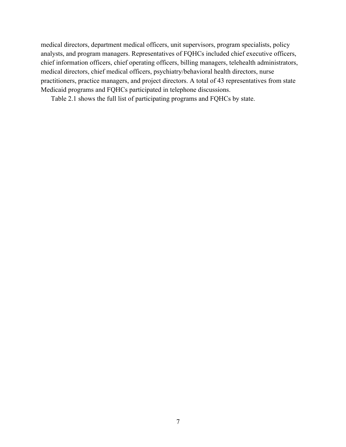medical directors, chief medical officers, psychiatry/behavioral health directors, nurse medical directors, department medical officers, unit supervisors, program specialists, policy analysts, and program managers. Representatives of FQHCs included chief executive officers, chief information officers, chief operating officers, billing managers, telehealth administrators, practitioners, practice managers, and project directors. A total of 43 representatives from state Medicaid programs and FQHCs participated in telephone discussions.

Table 2.1 shows the full list of participating programs and FQHCs by state.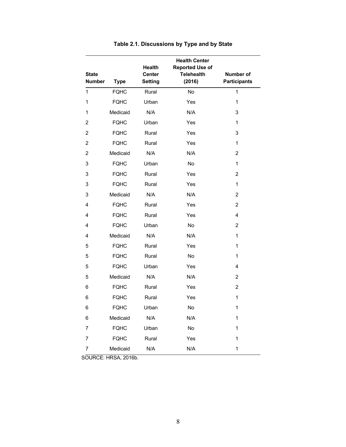|                |             | <b>Health</b>  | <b>Health Center</b><br><b>Reported Use of</b> |                     |
|----------------|-------------|----------------|------------------------------------------------|---------------------|
| <b>State</b>   |             | <b>Center</b>  | <b>Telehealth</b>                              | <b>Number of</b>    |
| <b>Number</b>  | <b>Type</b> | <b>Setting</b> | (2016)                                         | <b>Participants</b> |
| 1              | <b>FQHC</b> | Rural          | No                                             | 1                   |
| 1              | <b>FQHC</b> | Urban          | Yes                                            | 1                   |
| 1              | Medicaid    | N/A            | N/A                                            | 3                   |
| $\overline{2}$ | <b>FQHC</b> | Urban          | Yes                                            | $\mathbf{1}$        |
| $\overline{2}$ | <b>FQHC</b> | Rural          | Yes                                            | 3                   |
| $\overline{2}$ | <b>FQHC</b> | Rural          | Yes                                            | $\mathbf{1}$        |
| 2              | Medicaid    | N/A            | N/A                                            | 2                   |
| 3              | <b>FQHC</b> | Urban          | No                                             | 1                   |
| 3              | <b>FQHC</b> | Rural          | Yes                                            | $\overline{2}$      |
| 3              | <b>FQHC</b> | Rural          | Yes                                            | 1                   |
| 3              | Medicaid    | N/A            | N/A                                            | $\overline{2}$      |
| 4              | <b>FQHC</b> | Rural          | Yes                                            | $\overline{2}$      |
| 4              | <b>FQHC</b> | Rural          | Yes                                            | $\overline{4}$      |
| 4              | <b>FQHC</b> | Urban          | No                                             | $\overline{2}$      |
| 4              | Medicaid    | N/A            | N/A                                            | 1                   |
| 5              | <b>FQHC</b> | Rural          | Yes                                            | 1                   |
| 5              | <b>FQHC</b> | Rural          | No                                             | 1                   |
| 5              | <b>FQHC</b> | Urban          | Yes                                            | 4                   |
| 5              | Medicaid    | N/A            | N/A                                            | $\overline{2}$      |
| 6              | <b>FQHC</b> | Rural          | Yes                                            | $\overline{2}$      |
| 6              | <b>FQHC</b> | Rural          | Yes                                            | 1                   |
| 6              | <b>FQHC</b> | Urban          | No                                             | 1                   |
| 6              | Medicaid    | N/A            | N/A                                            | $\mathbf 1$         |
| 7              | <b>FQHC</b> | Urban          | No                                             | $\mathbf{1}$        |
| $\overline{7}$ | <b>FQHC</b> | Rural          | Yes                                            | 1                   |
| $\overline{7}$ | Medicaid    | N/A            | N/A                                            | $\mathbf 1$         |

### **Table 2.1. Discussions by Type and by State**

SOURCE: HRSA, 2016b.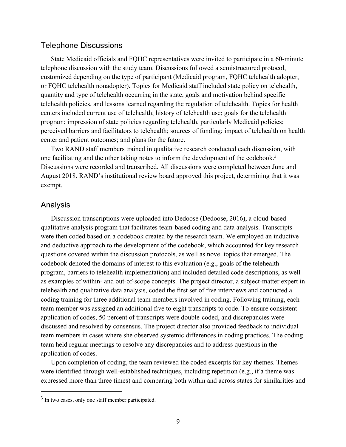### Telephone Discussions

 State Medicaid officials and FQHC representatives were invited to participate in a 60-minute telephone discussion with the study team. Discussions followed a semistructured protocol, center and patient outcomes; and plans for the future. customized depending on the type of participant (Medicaid program, FQHC telehealth adopter, or FQHC telehealth nonadopter). Topics for Medicaid staff included state policy on telehealth, quantity and type of telehealth occurring in the state, goals and motivation behind specific telehealth policies, and lessons learned regarding the regulation of telehealth. Topics for health centers included current use of telehealth; history of telehealth use; goals for the telehealth program; impression of state policies regarding telehealth, particularly Medicaid policies; perceived barriers and facilitators to telehealth; sources of funding; impact of telehealth on health

Two RAND staff members trained in qualitative research conducted each discussion, with one facilitating and the other taking notes to inform the development of the codebook.<sup>3</sup> Discussions were recorded and transcribed. All discussions were completed between June and August 2018. RAND's institutional review board approved this project, determining that it was exempt.

#### Analysis

 $\overline{a}$ 

 questions covered within the discussion protocols, as well as novel topics that emerged. The program, barriers to telehealth implementation) and included detailed code descriptions, as well team member was assigned an additional five to eight transcripts to code. To ensure consistent application of codes, 50 percent of transcripts were double-coded, and discrepancies were team held regular meetings to resolve any discrepancies and to address questions in the Discussion transcriptions were uploaded into Dedoose (Dedoose, 2016), a cloud-based qualitative analysis program that facilitates team-based coding and data analysis. Transcripts were then coded based on a codebook created by the research team. We employed an inductive and deductive approach to the development of the codebook, which accounted for key research codebook denoted the domains of interest to this evaluation (e.g., goals of the telehealth as examples of within- and out-of-scope concepts. The project director, a subject-matter expert in telehealth and qualitative data analysis, coded the first set of five interviews and conducted a coding training for three additional team members involved in coding. Following training, each discussed and resolved by consensus. The project director also provided feedback to individual team members in cases where she observed systemic differences in coding practices. The coding application of codes.

Upon completion of coding, the team reviewed the coded excerpts for key themes. Themes were identified through well-established techniques, including repetition (e.g., if a theme was expressed more than three times) and comparing both within and across states for similarities and

 $3$  In two cases, only one staff member participated.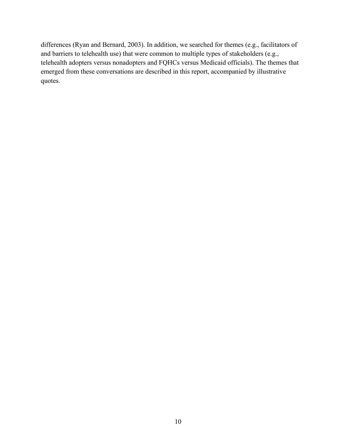differences (Ryan and Bernard, 2003). In addition, we searched for themes (e.g., facilitators of telehealth adopters versus nonadopters and FQHCs versus Medicaid officials). The themes that emerged from these conversations are described in this report, accompanied by illustrative and barriers to telehealth use) that were common to multiple types of stakeholders (e.g., quotes.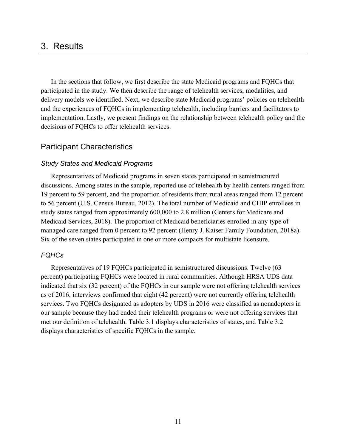## 3. Results

 In the sections that follow, we first describe the state Medicaid programs and FQHCs that delivery models we identified. Next, we describe state Medicaid programs' policies on telehealth implementation. Lastly, we present findings on the relationship between telehealth policy and the participated in the study. We then describe the range of telehealth services, modalities, and and the experiences of FQHCs in implementing telehealth, including barriers and facilitators to decisions of FQHCs to offer telehealth services.

#### Participant Characteristics

#### *Study States and Medicaid Programs*

 discussions. Among states in the sample, reported use of telehealth by health centers ranged from 19 percent to 59 percent, and the proportion of residents from rural areas ranged from 12 percent to 56 percent (U.S. Census Bureau, 2012). The total number of Medicaid and CHIP enrollees in managed care ranged from 0 percent to 92 percent (Henry J. Kaiser Family Foundation, 2018a). Representatives of Medicaid programs in seven states participated in semistructured study states ranged from approximately 600,000 to 2.8 million (Centers for Medicare and Medicaid Services, 2018). The proportion of Medicaid beneficiaries enrolled in any type of Six of the seven states participated in one or more compacts for multistate licensure.

#### *FQHCs*

 Representatives of 19 FQHCs participated in semistructured discussions. Twelve (63 percent) participating FQHCs were located in rural communities. Although HRSA UDS data indicated that six (32 percent) of the FQHCs in our sample were not offering telehealth services as of 2016, interviews confirmed that eight (42 percent) were not currently offering telehealth services. Two FQHCs designated as adopters by UDS in 2016 were classified as nonadopters in met our definition of telehealth. Table 3.1 displays characteristics of states, and Table 3.2 our sample because they had ended their telehealth programs or were not offering services that displays characteristics of specific FQHCs in the sample.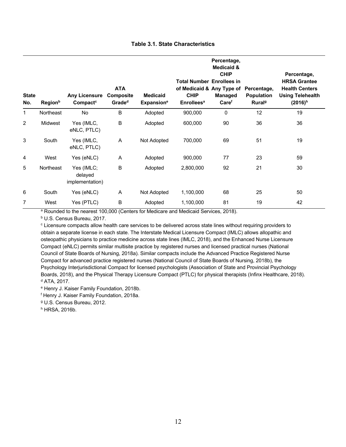|  |  | <b>Table 3.1. State Characteristics</b> |
|--|--|-----------------------------------------|
|--|--|-----------------------------------------|

| <b>State</b><br>No. | <b>Region</b> <sup>b</sup> | <b>Any Licensure</b><br>Compact <sup>c</sup> | <b>ATA</b><br><b>Composite</b><br>Grade <sup>d</sup> | <b>Medicaid</b><br><b>Expansion</b> <sup>e</sup> | <b>Total Number Enrollees in</b><br>of Medicaid & Any Type of<br><b>CHIP</b><br><b>Enrollees<sup>a</sup></b> | Percentage,<br><b>Medicaid &amp;</b><br><b>CHIP</b><br>Managed<br>Care <sup>f</sup> | Percentage,<br><b>Population</b><br>Rural <sup>g</sup> | Percentage,<br><b>HRSA Grantee</b><br><b>Health Centers</b><br><b>Using Telehealth</b><br>$(2016)^h$ |
|---------------------|----------------------------|----------------------------------------------|------------------------------------------------------|--------------------------------------------------|--------------------------------------------------------------------------------------------------------------|-------------------------------------------------------------------------------------|--------------------------------------------------------|------------------------------------------------------------------------------------------------------|
| 1                   | Northeast                  | <b>No</b>                                    | $\sf B$                                              | Adopted                                          | 900,000                                                                                                      | $\mathbf 0$                                                                         | 12                                                     | 19                                                                                                   |
| 2                   | Midwest                    | Yes (IMLC,<br>eNLC, PTLC)                    | $\sf B$                                              | Adopted                                          | 600,000                                                                                                      | 90                                                                                  | 36                                                     | 36                                                                                                   |
| 3                   | South                      | Yes (IMLC,<br>eNLC, PTLC)                    | A                                                    | Not Adopted                                      | 700,000                                                                                                      | 69                                                                                  | 51                                                     | 19                                                                                                   |
| 4                   | West                       | Yes (eNLC)                                   | A                                                    | Adopted                                          | 900,000                                                                                                      | 77                                                                                  | 23                                                     | 59                                                                                                   |
| 5                   | Northeast                  | Yes (IMLC;<br>delayed<br>implementation)     | B                                                    | Adopted                                          | 2,800,000                                                                                                    | 92                                                                                  | 21                                                     | 30                                                                                                   |
| 6                   | South                      | Yes (eNLC)                                   | A                                                    | Not Adopted                                      | 1,100,000                                                                                                    | 68                                                                                  | 25                                                     | 50                                                                                                   |
| 7                   | West                       | Yes (PTLC)                                   | B                                                    | Adopted                                          | 1,100,000                                                                                                    | 81                                                                                  | 19                                                     | 42                                                                                                   |

<sup>a</sup> Rounded to the nearest 100,000 (Centers for Medicare and Medicaid Services, 2018).

b U.S. Census Bureau, 2017.

<sup>c</sup> Licensure compacts allow health care services to be delivered across state lines without requiring providers to obtain a separate license in each state. The Interstate Medical Licensure Compact (IMLC) allows allopathic and osteopathic physicians to practice medicine across state lines (IMLC, 2018), and the Enhanced Nurse Licensure Compact (eNLC) permits similar multisite practice by registered nurses and licensed practical nurses (National Council of State Boards of Nursing, 2018a). Similar compacts include the Advanced Practice Registered Nurse Compact for advanced practice registered nurses (National Council of State Boards of Nursing, 2018b), the Psychology Interjurisdictional Compact for licensed psychologists (Association of State and Provincial Psychology Boards, 2018), and the Physical Therapy Licensure Compact (PTLC) for physical therapists (Infinx Healthcare, 2018). d ATA, 2017.

e Henry J. Kaiser Family Foundation, 2018b.

f Henry J. Kaiser Family Foundation, 2018a.

g U.S. Census Bureau, 2012.

h HRSA, 2016b.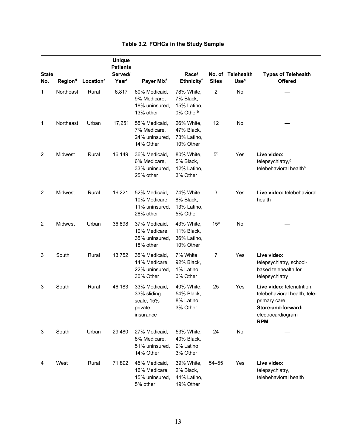| <b>State</b><br>No. | Region <sup>d</sup> | Location <sup>e</sup> | <b>Unique</b><br><b>Patients</b><br>Served/<br>Yearf | Payer Mixf                                                         | Race/<br>Ethnicityf                                             | No. of<br><b>Sites</b> | Telehealth<br>Use <sup>a</sup> | <b>Types of Telehealth</b><br><b>Offered</b>                                                                                        |
|---------------------|---------------------|-----------------------|------------------------------------------------------|--------------------------------------------------------------------|-----------------------------------------------------------------|------------------------|--------------------------------|-------------------------------------------------------------------------------------------------------------------------------------|
| $\mathbf{1}$        | Northeast           | Rural                 | 6,817                                                | 60% Medicaid,<br>9% Medicare,<br>18% uninsured,<br>13% other       | 78% White,<br>7% Black,<br>15% Latino,<br>0% Other <sup>b</sup> | $\overline{c}$         | No                             |                                                                                                                                     |
| 1                   | Northeast           | Urban                 | 17,251                                               | 55% Medicaid,<br>7% Medicare,<br>24% uninsured,<br>14% Other       | 26% White,<br>47% Black,<br>73% Latino,<br>10% Other            | 12                     | No                             |                                                                                                                                     |
| $\overline{c}$      | Midwest             | Rural                 | 16,149                                               | 36% Medicaid,<br>6% Medicare,<br>33% uninsured.<br>25% other       | 80% White,<br>5% Black,<br>12% Latino,<br>3% Other              | 5 <sup>b</sup>         | Yes                            | Live video:<br>telepsychiatry, <sup>9</sup><br>telebehavioral health <sup>h</sup>                                                   |
| $\overline{c}$      | Midwest             | Rural                 | 16,221                                               | 52% Medicaid,<br>10% Medicare,<br>11% uninsured,<br>28% other      | 74% White,<br>8% Black,<br>13% Latino,<br>5% Other              | 3                      | Yes                            | Live video: telebehavioral<br>health                                                                                                |
| $\overline{c}$      | Midwest             | Urban                 | 36,898                                               | 37% Medicaid,<br>10% Medicare,<br>35% uninsured,<br>18% other      | 43% White,<br>11% Black,<br>36% Latino,<br>10% Other            | 15 <sup>c</sup>        | No                             |                                                                                                                                     |
| 3                   | South               | Rural                 | 13,752                                               | 35% Medicaid,<br>14% Medicare,<br>22% uninsured,<br>30% Other      | 7% White,<br>92% Black,<br>1% Latino,<br>0% Other               | 7                      | Yes                            | Live video:<br>telepsychiatry, school-<br>based telehealth for<br>telepsychiatry                                                    |
| 3                   | South               | Rural                 | 46,183                                               | 33% Medicaid,<br>33% sliding<br>scale, 15%<br>private<br>insurance | 40% White,<br>54% Black,<br>8% Latino,<br>3% Other              | 25                     | Yes                            | Live video: telenutrition,<br>telebehavioral health, tele-<br>primary care<br>Store-and-forward:<br>electrocardiogram<br><b>RPM</b> |
| 3                   | South               | Urban                 | 29,480                                               | 27% Medicaid,<br>8% Medicare,<br>51% uninsured,<br>14% Other       | 53% White,<br>40% Black,<br>9% Latino,<br>3% Other              | 24                     | No                             |                                                                                                                                     |
| 4                   | West                | Rural                 | 71,892                                               | 45% Medicaid,<br>16% Medicare,<br>15% uninsured,<br>5% other       | 39% White,<br>2% Black,<br>44% Latino,<br>19% Other             | $54 - 55$              | Yes                            | Live video:<br>telepsychiatry,<br>telebehavioral health                                                                             |

### **Table 3.2. FQHCs in the Study Sample**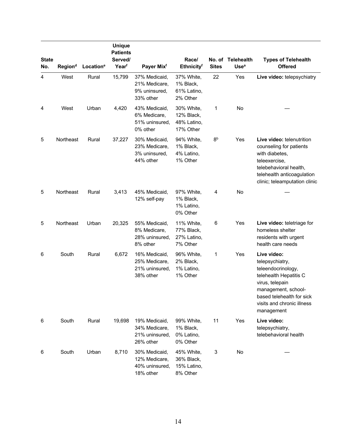| <b>State</b><br>No. | Region <sup>d</sup> | Location <sup>e</sup> | <b>Unique</b><br><b>Patients</b><br>Served/<br>Yearf | Payer Mixf                                                    | Race/<br><b>Ethnicityf</b>                           | <b>Sites</b>   | No. of Telehealth<br>Use <sup>a</sup> | <b>Types of Telehealth</b><br><b>Offered</b>                                                                                                                                                      |
|---------------------|---------------------|-----------------------|------------------------------------------------------|---------------------------------------------------------------|------------------------------------------------------|----------------|---------------------------------------|---------------------------------------------------------------------------------------------------------------------------------------------------------------------------------------------------|
| $\overline{4}$      | West                | Rural                 | 15,799                                               | 37% Medicaid,<br>21% Medicare,<br>9% uninsured,<br>33% other  | 37% White,<br>1% Black,<br>61% Latino,<br>2% Other   | 22             | Yes                                   | Live video: telepsychiatry                                                                                                                                                                        |
| 4                   | West                | Urban                 | 4,420                                                | 43% Medicaid,<br>6% Medicare,<br>51% uninsured,<br>0% other   | 30% White,<br>12% Black,<br>48% Latino,<br>17% Other | 1              | No                                    |                                                                                                                                                                                                   |
| 5                   | Northeast           | Rural                 | 37,227                                               | 30% Medicaid,<br>23% Medicare,<br>3% uninsured,<br>44% other  | 94% White,<br>1% Black,<br>4% Latino,<br>1% Other    | 8 <sup>b</sup> | Yes                                   | Live video: telenutrition<br>counseling for patients<br>with diabetes,<br>teleexercise,<br>telebehavioral health,<br>telehealth anticoagulation<br>clinic; teleamputation clinic                  |
| 5                   | Northeast           | Rural                 | 3,413                                                | 45% Medicaid,<br>12% self-pay                                 | 97% White,<br>1% Black,<br>1% Latino,<br>0% Other    | 4              | No                                    |                                                                                                                                                                                                   |
| 5                   | Northeast           | Urban                 | 20,325                                               | 55% Medicaid,<br>8% Medicare,<br>28% uninsured,<br>8% other   | 11% White,<br>77% Black,<br>27% Latino,<br>7% Other  | 6              | Yes                                   | Live video: teletriage for<br>homeless shelter<br>residents with urgent<br>health care needs                                                                                                      |
| 6                   | South               | Rural                 | 6,672                                                | 16% Medicaid,<br>25% Medicare,<br>21% uninsured,<br>38% other | 96% White,<br>2% Black,<br>1% Latino,<br>1% Other    | 1              | Yes                                   | Live video:<br>telepsychiatry,<br>teleendocrinology,<br>telehealth Hepatitis C<br>virus, telepain<br>management, school-<br>based telehealth for sick<br>visits and chronic illness<br>management |
| 6                   | South               | Rural                 | 19,698                                               | 19% Medicaid,<br>34% Medicare,<br>21% uninsured,<br>26% other | 99% White,<br>1% Black,<br>0% Latino,<br>0% Other    | 11             | Yes                                   | Live video:<br>telepsychiatry,<br>telebehavioral health                                                                                                                                           |
| 6                   | South               | Urban                 | 8,710                                                | 30% Medicaid,<br>12% Medicare,<br>40% uninsured,<br>18% other | 45% White,<br>36% Black,<br>15% Latino,<br>8% Other  | 3              | No                                    |                                                                                                                                                                                                   |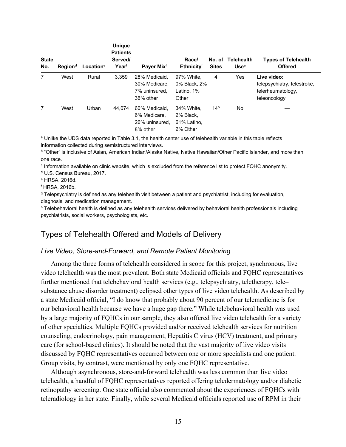| <b>State</b><br>No. | Region <sup>d</sup> | Location <sup>e</sup> | <b>Unique</b><br><b>Patients</b><br>Served/<br>Yearf | Payer Mix <sup>f</sup>                                       | Race/<br><b>Ethnicityf</b>                         | No. of<br><b>Sites</b> | Telehealth<br>Use <sup>a</sup> | <b>Types of Telehealth</b><br><b>Offered</b>                                    |
|---------------------|---------------------|-----------------------|------------------------------------------------------|--------------------------------------------------------------|----------------------------------------------------|------------------------|--------------------------------|---------------------------------------------------------------------------------|
| 7                   | West                | Rural                 | 3.359                                                | 28% Medicaid.<br>30% Medicare.<br>7% uninsured.<br>36% other | 97% White.<br>0% Black, 2%<br>Latino, 1%<br>Other  | 4                      | Yes                            | Live video:<br>telepsychiatry, telestroke,<br>telerheumatology,<br>teleoncology |
| 7                   | West                | Urban                 | 44.074                                               | 60% Medicaid.<br>6% Medicare.<br>26% uninsured.<br>8% other  | 34% White.<br>2% Black,<br>61% Latino,<br>2% Other | 14 <sup>b</sup>        | No.                            |                                                                                 |

a Unlike the UDS data reported in Table 3.1, the health center use of telehealth variable in this table reflects information collected during semistructured interviews.

 b "Other" is inclusive of Asian, American Indian/Alaska Native, Native Hawaiian/Other Pacific Islander, and more than one race.

<sup>c</sup> Information available on clinic website, which is excluded from the reference list to protect FQHC anonymity.

d U.S. Census Bureau, 2017.

e HRSA, 2016d.

 $<sup>f</sup>$  HRSA, 2016b.</sup>

<sup>g</sup> Telepsychiatry is defined as any telehealth visit between a patient and psychiatrist, including for evaluation, diagnosis, and medication management.

 $^{\text{h}}$  Telebehavioral health is defined as any telehealth services delivered by behavioral health professionals including psychiatrists, social workers, psychologists, etc.

## Types of Telehealth Offered and Models of Delivery

#### *Live Video, Store-and-Forward, and Remote Patient Monitoring*

 a state Medicaid official, "I do know that probably about 90 percent of our telemedicine is for Group visits, by contrast, were mentioned by only one FQHC representative. Among the three forms of telehealth considered in scope for this project, synchronous, live video telehealth was the most prevalent. Both state Medicaid officials and FQHC representatives further mentioned that telebehavioral health services (e.g., telepsychiatry, teletherapy, tele– substance abuse disorder treatment) eclipsed other types of live video telehealth. As described by our behavioral health because we have a huge gap there." While telebehavioral health was used by a large majority of FQHCs in our sample, they also offered live video telehealth for a variety of other specialties. Multiple FQHCs provided and/or received telehealth services for nutrition counseling, endocrinology, pain management, Hepatitis C virus (HCV) treatment, and primary care (for school-based clinics). It should be noted that the vast majority of live video visits discussed by FQHC representatives occurred between one or more specialists and one patient.

Although asynchronous, store-and-forward telehealth was less common than live video telehealth, a handful of FQHC representatives reported offering teledermatology and/or diabetic retinopathy screening. One state official also commented about the experiences of FQHCs with teleradiology in her state. Finally, while several Medicaid officials reported use of RPM in their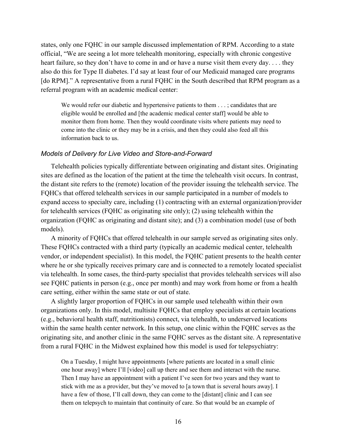states, only one FQHC in our sample discussed implementation of RPM. According to a state [do RPM]." A representative from a rural FQHC in the South described that RPM program as a referral program with an academic medical center: referral program with an academic medical center:<br>We would refer our diabetic and hypertensive patients to them . . . ; candidates that are official, "We are seeing a lot more telehealth monitoring, especially with chronic congestive heart failure, so they don't have to come in and or have a nurse visit them every day. . . . they also do this for Type II diabetes. I'd say at least four of our Medicaid managed care programs

 eligible would be enrolled and [the academic medical center staff] would be able to monitor them from home. Then they would coordinate visits where patients may need to come into the clinic or they may be in a crisis, and then they could also feed all this information back to us.

#### *Models of Delivery for Live Video and Store-and-Forward*

 Telehealth policies typically differentiate between originating and distant sites. Originating sites are defined as the location of the patient at the time the telehealth visit occurs. In contrast, the distant site refers to the (remote) location of the provider issuing the telehealth service. The FQHCs that offered telehealth services in our sample participated in a number of models to expand access to specialty care, including (1) contracting with an external organization/provider for telehealth services (FQHC as originating site only); (2) using telehealth within the organization (FQHC as originating and distant site); and (3) a combination model (use of both models).

 see FQHC patients in person (e.g., once per month) and may work from home or from a health care setting, either within the same state or out of state. A minority of FQHCs that offered telehealth in our sample served as originating sites only. These FQHCs contracted with a third party (typically an academic medical center, telehealth vendor, or independent specialist). In this model, the FQHC patient presents to the health center where he or she typically receives primary care and is connected to a remotely located specialist via telehealth. In some cases, the third-party specialist that provides telehealth services will also

 from a rural FQHC in the Midwest explained how this model is used for telepsychiatry: A slightly larger proportion of FQHCs in our sample used telehealth within their own organizations only. In this model, multisite FQHCs that employ specialists at certain locations (e.g., behavioral health staff, nutritionists) connect, via telehealth, to underserved locations within the same health center network. In this setup, one clinic within the FQHC serves as the originating site, and another clinic in the same FQHC serves as the distant site. A representative

 On a Tuesday, I might have appointments [where patients are located in a small clinic one hour away] where I'll [video] call up there and see them and interact with the nurse. Then I may have an appointment with a patient I've seen for two years and they want to stick with me as a provider, but they've moved to [a town that is several hours away]. I have a few of those, I'll call down, they can come to the [distant] clinic and I can see them on telepsych to maintain that continuity of care. So that would be an example of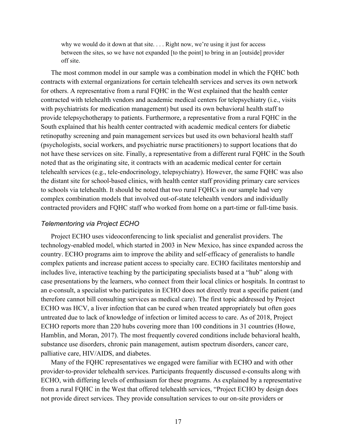why we would do it down at that site. . . . Right now, we're using it just for access between the sites, so we have not expanded [to the point] to bring in an [outside] provider off site.

 contracts with external organizations for certain telehealth services and serves its own network contracted with telehealth vendors and academic medical centers for telepsychiatry (i.e., visits The most common model in our sample was a combination model in which the FQHC both for others. A representative from a rural FQHC in the West explained that the health center with psychiatrists for medication management) but used its own behavioral health staff to provide telepsychotherapy to patients. Furthermore, a representative from a rural FQHC in the South explained that his health center contracted with academic medical centers for diabetic retinopathy screening and pain management services but used its own behavioral health staff (psychologists, social workers, and psychiatric nurse practitioners) to support locations that do not have these services on site. Finally, a representative from a different rural FQHC in the South noted that as the originating site, it contracts with an academic medical center for certain telehealth services (e.g., tele-endocrinology, telepsychiatry). However, the same FQHC was also the distant site for school-based clinics, with health center staff providing primary care services to schools via telehealth. It should be noted that two rural FQHCs in our sample had very complex combination models that involved out-of-state telehealth vendors and individually contracted providers and FQHC staff who worked from home on a part-time or full-time basis.

#### *Telementoring via Project ECHO*

 country. ECHO programs aim to improve the ability and self-efficacy of generalists to handle complex patients and increase patient access to specialty care. ECHO facilitates mentorship and includes live, interactive teaching by the participating specialists based at a "hub" along with an e-consult, a specialist who participates in ECHO does not directly treat a specific patient (and therefore cannot bill consulting services as medical care). The first topic addressed by Project Project ECHO uses videoconferencing to link specialist and generalist providers. The technology-enabled model, which started in 2003 in New Mexico, has since expanded across the case presentations by the learners, who connect from their local clinics or hospitals. In contrast to ECHO was HCV, a liver infection that can be cured when treated appropriately but often goes untreated due to lack of knowledge of infection or limited access to care. As of 2018, Project ECHO reports more than 220 hubs covering more than 100 conditions in 31 countries (Howe, Hamblin, and Moran, 2017). The most frequently covered conditions include behavioral health, substance use disorders, chronic pain management, autism spectrum disorders, cancer care, palliative care, HIV/AIDS, and diabetes.

 Many of the FQHC representatives we engaged were familiar with ECHO and with other provider-to-provider telehealth services. Participants frequently discussed e-consults along with ECHO, with differing levels of enthusiasm for these programs. As explained by a representative from a rural FQHC in the West that offered telehealth services, "Project ECHO by design does not provide direct services. They provide consultation services to our on-site providers or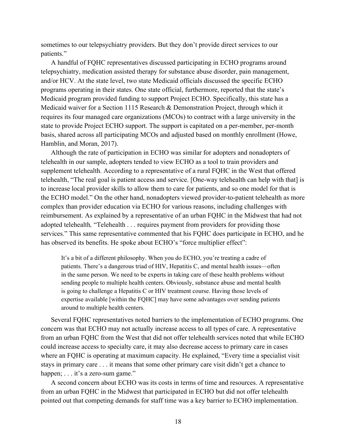sometimes to our telepsychiatry providers. But they don't provide direct services to our patients."

 programs operating in their states. One state official, furthermore, reported that the state's Medicaid program provided funding to support Project ECHO. Specifically, this state has a requires its four managed care organizations (MCOs) to contract with a large university in the Hamblin, and Moran, 2017). A handful of FQHC representatives discussed participating in ECHO programs around telepsychiatry, medication assisted therapy for substance abuse disorder, pain management, and/or HCV. At the state level, two state Medicaid officials discussed the specific ECHO Medicaid waiver for a Section 1115 Research & Demonstration Project, through which it state to provide Project ECHO support. The support is capitated on a per-member, per-month basis, shared across all participating MCOs and adjusted based on monthly enrollment (Howe,

 supplement telehealth. According to a representative of a rural FQHC in the West that offered reimbursement. As explained by a representative of an urban FQHC in the Midwest that had not adopted telehealth*,* "Telehealth . . . requires payment from providers for providing those has observed its benefits. He spoke about ECHO's "force multiplier effect":<br>It's a bit of a different philosophy. When you do ECHO, you're treating a cadre of Although the rate of participation in ECHO was similar for adopters and nonadopters of telehealth in our sample, adopters tended to view ECHO as a tool to train providers and telehealth, "The real goal is patient access and service. [One-way telehealth can help with that] is to increase local provider skills to allow them to care for patients, and so one model for that is the ECHO model." On the other hand, nonadopters viewed provider-to-patient telehealth as more complex than provider education via ECHO for various reasons, including challenges with services." This same representative commented that his FQHC does participate in ECHO, and he

 is going to challenge a Hepatitis C or HIV treatment course. Having those levels of expertise available [within the FQHC] may have some advantages over sending patients patients. There's a dangerous triad of HIV, Hepatitis C, and mental health issues—often in the same person. We need to be experts in taking care of these health problems without sending people to multiple health centers. Obviously, substance abuse and mental health around to multiple health centers.

 from an urban FQHC from the West that did not offer telehealth services noted that while ECHO could increase access to specialty care, it may also decrease access to primary care in cases stays in primary care . . . it means that some other primary care visit didn't get a chance to happen;  $\dots$  it's a zero-sum game." happen; . . . it's a zero-sum game."<br>A second concern about ECHO was its costs in terms of time and resources. A representative Several FQHC representatives noted barriers to the implementation of ECHO programs. One concern was that ECHO may not actually increase access to all types of care. A representative where an FQHC is operating at maximum capacity. He explained, "Every time a specialist visit

 from an urban FQHC in the Midwest that participated in ECHO but did not offer telehealth pointed out that competing demands for staff time was a key barrier to ECHO implementation.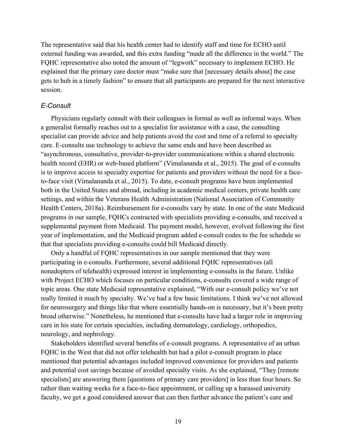external funding was awarded, and this extra funding "made all the difference in the world." The FQHC representative also noted the amount of "legwork" necessary to implement ECHO. He The representative said that his health center had to identify staff and time for ECHO until explained that the primary care doctor must "make sure that [necessary details about] the case gets to hub in a timely fashion" to ensure that all participants are prepared for the next interactive session.

#### *E-Consult*

 health record (EHR) or web-based platform" (Vimalananda et al., 2015). The goal of e-consults Physicians regularly consult with their colleagues in formal as well as informal ways. When a generalist formally reaches out to a specialist for assistance with a case, the consulting specialist can provide advice and help patients avoid the cost and time of a referral to specialty care. E-consults use technology to achieve the same ends and have been described as "asynchronous, consultative, provider-to-provider communications within a shared electronic is to improve access to specialty expertise for patients and providers without the need for a faceto-face visit (Vimalananda et al., 2015). To date, e-consult programs have been implemented both in the United States and abroad, including in academic medical centers, private health care settings, and within the Veterans Health Administration (National Association of Community Health Centers, 2018a). Reimbursement for e-consults vary by state. In one of the state Medicaid programs in our sample, FQHCs contracted with specialists providing e-consults, and received a supplemental payment from Medicaid. The payment model, however, evolved following the first year of implementation, and the Medicaid program added e-consult codes to the fee schedule so that that specialists providing e-consults could bill Medicaid directly.

 participating in e-consults. Furthermore, several additional FQHC representatives (all topic areas. One state Medicaid representative explained, "With our e-consult policy we've not Only a handful of FQHC representatives in our sample mentioned that they were nonadopters of telehealth) expressed interest in implementing e-consults in the future. Unlike with Project ECHO which focuses on particular conditions, e-consults covered a wide range of really limited it much by specialty. We've had a few basic limitations. I think we've not allowed for neurosurgery and things like that where essentially hands-on is necessary, but it's been pretty broad otherwise." Nonetheless, he mentioned that e-consults have had a larger role in improving care in his state for certain specialties, including dermatology, cardiology, orthopedics, neurology, and nephrology.

 FQHC in the West that did not offer telehealth but had a pilot e-consult program in place Stakeholders identified several benefits of e-consult programs. A representative of an urban mentioned that potential advantages included improved convenience for providers and patients and potential cost savings because of avoided specialty visits. As she explained, "They [remote specialists] are answering them [questions of primary care providers] in less than four hours. So rather than waiting weeks for a face-to-face appointment, or calling up a harassed university faculty, we get a good considered answer that can then further advance the patient's care and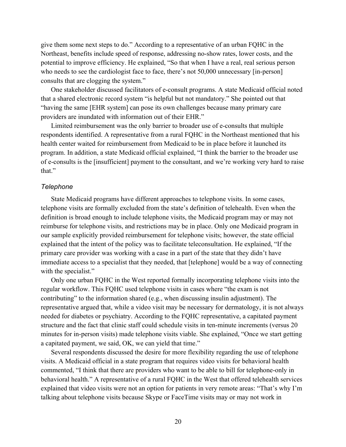give them some next steps to do." According to a representative of an urban FQHC in the who needs to see the cardiologist face to face, there's not 50,000 unnecessary [in-person] Northeast, benefits include speed of response, addressing no-show rates, lower costs, and the potential to improve efficiency. He explained, "So that when I have a real, real serious person consults that are clogging the system."

 that a shared electronic record system "is helpful but not mandatory." She pointed out that "having the same [EHR system] can pose its own challenges because many primary care providers are inundated with information out of their EHR." One stakeholder discussed facilitators of e-consult programs. A state Medicaid official noted

 program. In addition, a state Medicaid official explained, "I think the barrier to the broader use of e-consults is the [insufficient] payment to the consultant, and we're working very hard to raise Limited reimbursement was the only barrier to broader use of e-consults that multiple respondents identified. A representative from a rural FQHC in the Northeast mentioned that his health center waited for reimbursement from Medicaid to be in place before it launched its that."

#### *Telephone*

State Medicaid programs have different approaches to telephone visits. In some cases, telephone visits are formally excluded from the state's definition of telehealth. Even when the definition is broad enough to include telephone visits, the Medicaid program may or may not reimburse for telephone visits, and restrictions may be in place. Only one Medicaid program in our sample explicitly provided reimbursement for telephone visits; however, the state official explained that the intent of the policy was to facilitate teleconsultation. He explained, "If the primary care provider was working with a case in a part of the state that they didn't have immediate access to a specialist that they needed, that [telephone] would be a way of connecting with the specialist."

 representative argued that, while a video visit may be necessary for dermatology, it is not always needed for diabetes or psychiatry. According to the FQHC representative, a capitated payment structure and the fact that clinic staff could schedule visits in ten-minute increments (versus 20 minutes for in-person visits) made telephone visits viable. She explained, "Once we start getting Only one urban FQHC in the West reported formally incorporating telephone visits into the regular workflow. This FQHC used telephone visits in cases where "the exam is not contributing" to the information shared (e.g., when discussing insulin adjustment). The a capitated payment, we said, OK, we can yield that time."

 behavioral health." A representative of a rural FQHC in the West that offered telehealth services explained that video visits were not an option for patients in very remote areas: "That's why I'm Several respondents discussed the desire for more flexibility regarding the use of telephone visits. A Medicaid official in a state program that requires video visits for behavioral health commented, "I think that there are providers who want to be able to bill for telephone-only in talking about telephone visits because Skype or FaceTime visits may or may not work in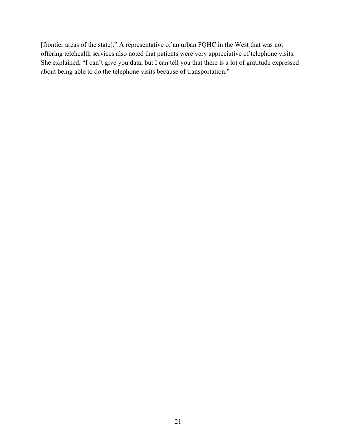[frontier areas of the state]." A representative of an urban FQHC in the West that was not offering telehealth services also noted that patients were very appreciative of telephone visits. She explained, "I can't give you data, but I can tell you that there is a lot of gratitude expressed about being able to do the telephone visits because of transportation."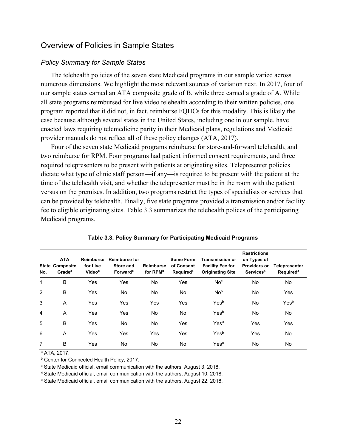### Overview of Policies in Sample States

#### *Policy Summary for Sample States*

 program reported that it did not, in fact, reimburse FQHCs for this modality. This is likely the The telehealth policies of the seven state Medicaid programs in our sample varied across numerous dimensions. We highlight the most relevant sources of variation next. In 2017, four of our sample states earned an ATA composite grade of B, while three earned a grade of A. While all state programs reimbursed for live video telehealth according to their written policies, one case because although several states in the United States, including one in our sample, have enacted laws requiring telemedicine parity in their Medicaid plans, regulations and Medicaid provider manuals do not reflect all of these policy changes (ATA, 2017).

 fee to eligible originating sites. Table 3.3 summarizes the telehealth polices of the participating Medicaid programs. Four of the seven state Medicaid programs reimburse for store-and-forward telehealth, and two reimburse for RPM. Four programs had patient informed consent requirements, and three required telepresenters to be present with patients at originating sites. Telepresenter policies dictate what type of clinic staff person—if any—is required to be present with the patient at the time of the telehealth visit, and whether the telepresenter must be in the room with the patient versus on the premises. In addition, two programs restrict the types of specialists or services that can be provided by telehealth. Finally, five state programs provided a transmission and/or facility

| No.            | <b>ATA</b><br><b>State Composite</b><br>Grade <sup>a</sup> | Reimburse<br>for Live<br>Videob | <b>Reimburse for</b><br>Store and<br>Forward <sup>b</sup> | Reimburse<br>for RPM <sup>b</sup> | Some Form<br>of Consent<br>Required <sup>b</sup> | <b>Transmission or</b><br><b>Facility Fee for</b><br><b>Originating Site</b> | <b>Restrictions</b><br>on Types of<br><b>Providers or</b><br><b>Services</b> <sup>a</sup> | <b>Telepresenter</b><br><b>Required<sup>a</sup></b> |
|----------------|------------------------------------------------------------|---------------------------------|-----------------------------------------------------------|-----------------------------------|--------------------------------------------------|------------------------------------------------------------------------------|-------------------------------------------------------------------------------------------|-----------------------------------------------------|
| 1              | B                                                          | Yes                             | Yes                                                       | No.                               | Yes                                              | No <sup>c</sup>                                                              | No.                                                                                       | <b>No</b>                                           |
| 2              | B                                                          | Yes                             | <b>No</b>                                                 | No.                               | <b>No</b>                                        | No <sup>b</sup>                                                              | No.                                                                                       | Yes                                                 |
| 3              | A                                                          | Yes                             | Yes                                                       | Yes                               | Yes                                              | Yesb                                                                         | No.                                                                                       | Yesb                                                |
| $\overline{4}$ | A                                                          | Yes                             | Yes                                                       | No.                               | <b>No</b>                                        | Yesb                                                                         | No.                                                                                       | <b>No</b>                                           |
| 5              | B                                                          | Yes                             | No                                                        | No.                               | Yes                                              | Yes <sup>d</sup>                                                             | Yes                                                                                       | Yes                                                 |
| 6              | A                                                          | Yes                             | Yes                                                       | Yes                               | Yes                                              | Yesb                                                                         | Yes                                                                                       | No.                                                 |
| 7              | B                                                          | Yes                             | No                                                        | No.                               | No                                               | Yese                                                                         | No.                                                                                       | <b>No</b>                                           |

| Table 3.3. Policy Summary for Participating Medicaid Programs |
|---------------------------------------------------------------|
|---------------------------------------------------------------|

a ATA, 2017.

**b Center for Connected Health Policy, 2017.** 

 $c$  State Medicaid official, email communication with the authors, August 3, 2018.

<sup>d</sup> State Medicaid official, email communication with the authors, August 10, 2018.

<sup>e</sup> State Medicaid official, email communication with the authors, August 22, 2018.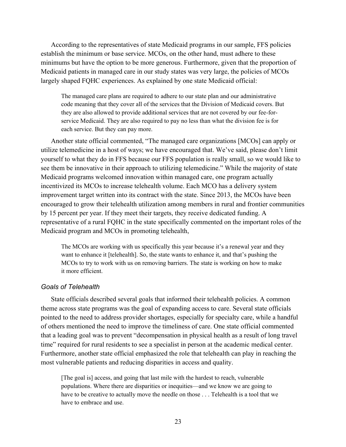According to the representatives of state Medicaid programs in our sample, FFS policies establish the minimum or base service. MCOs, on the other hand, must adhere to these minimums but have the option to be more generous. Furthermore, given that the proportion of Medicaid patients in managed care in our study states was very large, the policies of MCOs largely shaped FQHC experiences. As explained by one state Medicaid official:

 The managed care plans are required to adhere to our state plan and our administrative code meaning that they cover all of the services that the Division of Medicaid covers. But service Medicaid. They are also required to pay no less than what the division fee is for each service. But they can pay more. they are also allowed to provide additional services that are not covered by our fee-for-

 incentivized its MCOs to increase telehealth volume. Each MCO has a delivery system improvement target written into its contract with the state. Since 2013, the MCOs have been by 15 percent per year. If they meet their targets, they receive dedicated funding. A Another state official commented, "The managed care organizations [MCOs] can apply or utilize telemedicine in a host of ways; we have encouraged that. We've said, please don't limit yourself to what they do in FFS because our FFS population is really small, so we would like to see them be innovative in their approach to utilizing telemedicine." While the majority of state Medicaid programs welcomed innovation within managed care, one program actually encouraged to grow their telehealth utilization among members in rural and frontier communities representative of a rural FQHC in the state specifically commented on the important roles of the Medicaid program and MCOs in promoting telehealth,

 The MCOs are working with us specifically this year because it's a renewal year and they want to enhance it [telehealth]. So, the state wants to enhance it, and that's pushing the MCOs to try to work with us on removing barriers. The state is working on how to make it more efficient.

#### *Goals of Telehealth*

State officials described several goals that informed their telehealth policies. A common theme across state programs was the goal of expanding access to care. Several state officials pointed to the need to address provider shortages, especially for specialty care, while a handful of others mentioned the need to improve the timeliness of care. One state official commented that a leading goal was to prevent "decompensation in physical health as a result of long travel time" required for rural residents to see a specialist in person at the academic medical center. Furthermore, another state official emphasized the role that telehealth can play in reaching the most vulnerable patients and reducing disparities in access and quality.

 [The goal is] access, and going that last mile with the hardest to reach, vulnerable populations. Where there are disparities or inequities—and we know we are going to have to be creative to actually move the needle on those . . . Telehealth is a tool that we have to embrace and use.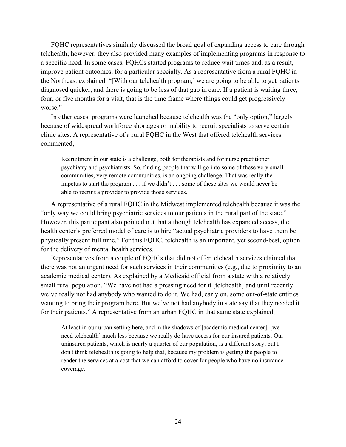improve patient outcomes, for a particular specialty. As a representative from a rural FQHC in FQHC representatives similarly discussed the broad goal of expanding access to care through telehealth; however, they also provided many examples of implementing programs in response to a specific need. In some cases, FQHCs started programs to reduce wait times and, as a result, the Northeast explained, "[With our telehealth program,] we are going to be able to get patients diagnosed quicker, and there is going to be less of that gap in care. If a patient is waiting three, four, or five months for a visit, that is the time frame where things could get progressively worse."

 clinic sites. A representative of a rural FQHC in the West that offered telehealth services In other cases, programs were launched because telehealth was the "only option," largely because of widespread workforce shortages or inability to recruit specialists to serve certain commented,

 Recruitment in our state is a challenge, both for therapists and for nurse practitioner psychiatry and psychiatrists. So, finding people that will go into some of these very small communities, very remote communities, is an ongoing challenge. That was really the impetus to start the program . . . if we didn't . . . some of these sites we would never be able to recruit a provider to provide those services.

 physically present full time." For this FQHC, telehealth is an important, yet second-best, option A representative of a rural FQHC in the Midwest implemented telehealth because it was the "only way we could bring psychiatric services to our patients in the rural part of the state." However, this participant also pointed out that although telehealth has expanded access, the health center's preferred model of care is to hire "actual psychiatric providers to have them be for the delivery of mental health services.

 Representatives from a couple of FQHCs that did not offer telehealth services claimed that we've really not had anybody who wanted to do it. We had, early on, some out-of-state entities there was not an urgent need for such services in their communities (e.g., due to proximity to an academic medical center). As explained by a Medicaid official from a state with a relatively small rural population, "We have not had a pressing need for it [telehealth] and until recently, wanting to bring their program here. But we've not had anybody in state say that they needed it for their patients." A representative from an urban FQHC in that same state explained,

 At least in our urban setting here, and in the shadows of [academic medical center], [we need telehealth] much less because we really do have access for our insured patients. Our uninsured patients, which is nearly a quarter of our population, is a different story, but I don't think telehealth is going to help that, because my problem is getting the people to render the services at a cost that we can afford to cover for people who have no insurance coverage.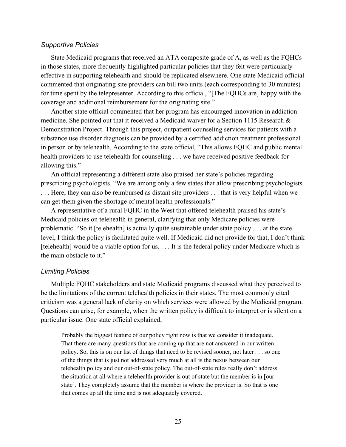#### *Supportive Policies*

coverage and additional reimbursement for the originating site." State Medicaid programs that received an ATA composite grade of A, as well as the FQHCs in those states, more frequently highlighted particular policies that they felt were particularly effective in supporting telehealth and should be replicated elsewhere. One state Medicaid official commented that originating site providers can bill two units (each corresponding to 30 minutes) for time spent by the telepresenter. According to this official, "[The FQHCs are] happy with the

 medicine. She pointed out that it received a Medicaid waiver for a Section 1115 Research & Demonstration Project. Through this project, outpatient counseling services for patients with a health providers to use telehealth for counseling . . . we have received positive feedback for Another state official commented that her program has encouraged innovation in addiction substance use disorder diagnosis can be provided by a certified addiction treatment professional in person or by telehealth. According to the state official, "This allows FQHC and public mental allowing this."

 . . . Here, they can also be reimbursed as distant site providers . . . that is very helpful when we can get them given the shortage of mental health professionals." An official representing a different state also praised her state's policies regarding prescribing psychologists. "We are among only a few states that allow prescribing psychologists

 problematic. "So it [telehealth] is actually quite sustainable under state policy . . . at the state the main obstacle to it." A representative of a rural FQHC in the West that offered telehealth praised his state's Medicaid policies on telehealth in general, clarifying that only Medicare policies were level, I think the policy is facilitated quite well. If Medicaid did not provide for that, I don't think [telehealth] would be a viable option for us. . . . It is the federal policy under Medicare which is

#### *Limiting Policies*

Multiple FQHC stakeholders and state Medicaid programs discussed what they perceived to be the limitations of the current telehealth policies in their states. The most commonly cited criticism was a general lack of clarity on which services were allowed by the Medicaid program. Questions can arise, for example, when the written policy is difficult to interpret or is silent on a particular issue. One state official explained,

 Probably the biggest feature of our policy right now is that we consider it inadequate. That there are many questions that are coming up that are not answered in our written policy. So, this is on our list of things that need to be revised sooner, not later . . . so one of the things that is just not addressed very much at all is the nexus between our telehealth policy and our out-of-state policy. The out-of-state rules really don't address the situation at all where a telehealth provider is out of state but the member is in [our state]. They completely assume that the member is where the provider is. So that is one that comes up all the time and is not adequately covered.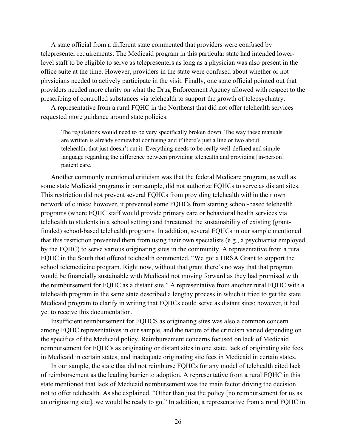A state official from a different state commented that providers were confused by telepresenter requirements. The Medicaid program in this particular state had intended lowerlevel staff to be eligible to serve as telepresenters as long as a physician was also present in the office suite at the time. However, providers in the state were confused about whether or not physicians needed to actively participate in the visit. Finally, one state official pointed out that providers needed more clarity on what the Drug Enforcement Agency allowed with respect to the prescribing of controlled substances via telehealth to support the growth of telepsychiatry.

A representative from a rural FQHC in the Northeast that did not offer telehealth services requested more guidance around state policies:

 The regulations would need to be very specifically broken down. The way these manuals telehealth, that just doesn't cut it. Everything needs to be really well-defined and simple are written is already somewhat confusing and if there's just a line or two about language regarding the difference between providing telehealth and providing [in-person] patient care.

 Another commonly mentioned criticism was that the federal Medicare program, as well as some state Medicaid programs in our sample, did not authorize FQHCs to serve as distant sites. network of clinics; however, it prevented some FQHCs from starting school-based telehealth programs (where FQHC staff would provide primary care or behavioral health services via the reimbursement for FQHC as a distant site." A representative from another rural FQHC with a This restriction did not prevent several FQHCs from providing telehealth within their own telehealth to students in a school setting) and threatened the sustainability of existing (grantfunded) school-based telehealth programs. In addition, several FQHCs in our sample mentioned that this restriction prevented them from using their own specialists (e.g., a psychiatrist employed by the FQHC) to serve various originating sites in the community. A representative from a rural FQHC in the South that offered telehealth commented, "We got a HRSA Grant to support the school telemedicine program. Right now, without that grant there's no way that that program would be financially sustainable with Medicaid not moving forward as they had promised with telehealth program in the same state described a lengthy process in which it tried to get the state Medicaid program to clarify in writing that FQHCs could serve as distant sites; however, it had yet to receive this documentation.

Insufficient reimbursement for FQHCS as originating sites was also a common concern among FQHC representatives in our sample, and the nature of the criticism varied depending on the specifics of the Medicaid policy. Reimbursement concerns focused on lack of Medicaid reimbursement for FQHCs as originating or distant sites in one state, lack of originating site fees in Medicaid in certain states, and inadequate originating site fees in Medicaid in certain states.

 In our sample, the state that did not reimburse FQHCs for any model of telehealth cited lack not to offer telehealth. As she explained, "Other than just the policy [no reimbursement for us as an originating site], we would be ready to go." In addition, a representative from a rural FQHC in of reimbursement as the leading barrier to adoption. A representative from a rural FQHC in this state mentioned that lack of Medicaid reimbursement was the main factor driving the decision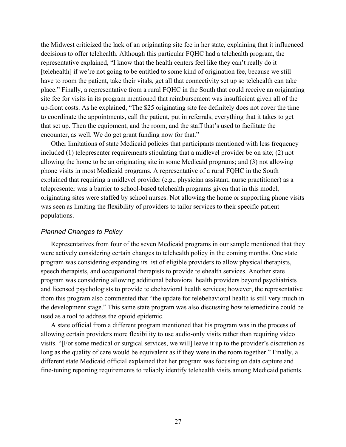the Midwest criticized the lack of an originating site fee in her state, explaining that it influenced site fee for visits in its program mentioned that reimbursement was insufficient given all of the encounter, as well. We do get grant funding now for that." decisions to offer telehealth. Although this particular FQHC had a telehealth program, the representative explained, "I know that the health centers feel like they can't really do it [telehealth] if we're not going to be entitled to some kind of origination fee, because we still have to room the patient, take their vitals, get all that connectivity set up so telehealth can take place." Finally, a representative from a rural FQHC in the South that could receive an originating up-front costs. As he explained, "The \$25 originating site fee definitely does not cover the time to coordinate the appointments, call the patient, put in referrals, everything that it takes to get that set up. Then the equipment, and the room, and the staff that's used to facilitate the

 included (1) telepresenter requirements stipulating that a midlevel provider be on site; (2) not Other limitations of state Medicaid policies that participants mentioned with less frequency allowing the home to be an originating site in some Medicaid programs; and (3) not allowing phone visits in most Medicaid programs. A representative of a rural FQHC in the South explained that requiring a midlevel provider (e.g., physician assistant, nurse practitioner) as a telepresenter was a barrier to school-based telehealth programs given that in this model, originating sites were staffed by school nurses. Not allowing the home or supporting phone visits was seen as limiting the flexibility of providers to tailor services to their specific patient populations.

#### *Planned Changes to Policy*

Representatives from four of the seven Medicaid programs in our sample mentioned that they were actively considering certain changes to telehealth policy in the coming months. One state program was considering expanding its list of eligible providers to allow physical therapists, speech therapists, and occupational therapists to provide telehealth services. Another state program was considering allowing additional behavioral health providers beyond psychiatrists and licensed psychologists to provide telebehavioral health services; however, the representative from this program also commented that "the update for telebehavioral health is still very much in the development stage." This same state program was also discussing how telemedicine could be used as a tool to address the opioid epidemic.

 long as the quality of care would be equivalent as if they were in the room together." Finally, a A state official from a different program mentioned that his program was in the process of allowing certain providers more flexibility to use audio-only visits rather than requiring video visits. "[For some medical or surgical services, we will] leave it up to the provider's discretion as different state Medicaid official explained that her program was focusing on data capture and fine-tuning reporting requirements to reliably identify telehealth visits among Medicaid patients.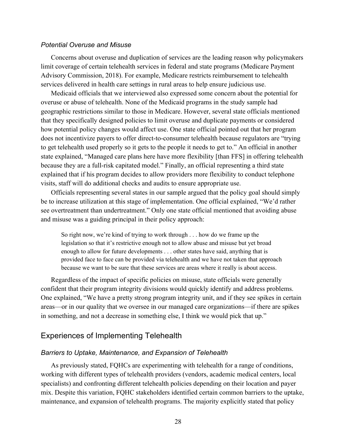#### *Potential Overuse and Misuse*

 Concerns about overuse and duplication of services are the leading reason why policymakers limit coverage of certain telehealth services in federal and state programs (Medicare Payment Advisory Commission, 2018). For example, Medicare restricts reimbursement to telehealth services delivered in health care settings in rural areas to help ensure judicious use.

 how potential policy changes would affect use. One state official pointed out that her program Medicaid officials that we interviewed also expressed some concern about the potential for overuse or abuse of telehealth. None of the Medicaid programs in the study sample had geographic restrictions similar to those in Medicare. However, several state officials mentioned that they specifically designed policies to limit overuse and duplicate payments or considered does not incentivize payers to offer direct-to-consumer telehealth because regulators are "trying to get telehealth used properly so it gets to the people it needs to get to." An official in another state explained, "Managed care plans here have more flexibility [than FFS] in offering telehealth because they are a full-risk capitated model." Finally, an official representing a third state explained that if his program decides to allow providers more flexibility to conduct telephone visits, staff will do additional checks and audits to ensure appropriate use.

Officials representing several states in our sample argued that the policy goal should simply be to increase utilization at this stage of implementation. One official explained, "We'd rather see overtreatment than undertreatment." Only one state official mentioned that avoiding abuse and misuse was a guiding principal in their policy approach:

 So right now, we're kind of trying to work through . . . how do we frame up the enough to allow for future developments . . . other states have said, anything that is provided face to face can be provided via telehealth and we have not taken that approach because we want to be sure that these services are areas where it really is about access. legislation so that it's restrictive enough not to allow abuse and misuse but yet broad

Regardless of the impact of specific policies on misuse, state officials were generally confident that their program integrity divisions would quickly identify and address problems. One explained, "We have a pretty strong program integrity unit, and if they see spikes in certain areas—or in our quality that we oversee in our managed care organizations—if there are spikes in something, and not a decrease in something else, I think we would pick that up."

#### Experiences of Implementing Telehealth

#### *Barriers to Uptake, Maintenance, and Expansion of Telehealth*

 mix. Despite this variation, FQHC stakeholders identified certain common barriers to the uptake, maintenance, and expansion of telehealth programs. The majority explicitly stated that policy As previously stated, FQHCs are experimenting with telehealth for a range of conditions, working with different types of telehealth providers (vendors, academic medical centers, local specialists) and confronting different telehealth policies depending on their location and payer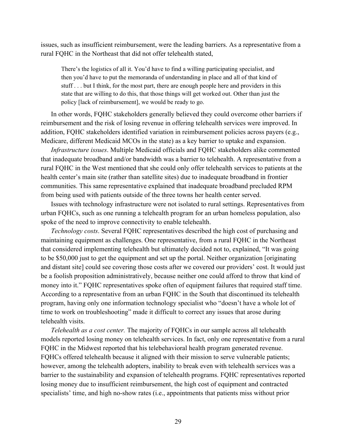issues, such as insufficient reimbursement, were the leading barriers. As a representative from a rural FQHC in the Northeast that did not offer telehealth stated,

 then you'd have to put the memoranda of understanding in place and all of that kind of stuff . . . but I think, for the most part, there are enough people here and providers in this state that are willing to do this, that those things will get worked out. Other than just the There's the logistics of all it. You'd have to find a willing participating specialist, and policy [lack of reimbursement], we would be ready to go.

 reimbursement and the risk of losing revenue in offering telehealth services were improved. In addition, FQHC stakeholders identified variation in reimbursement policies across payers (e.g., In other words, FQHC stakeholders generally believed they could overcome other barriers if Medicare, different Medicaid MCOs in the state) as a key barrier to uptake and expansion.

 *Infrastructure issues*. Multiple Medicaid officials and FQHC stakeholders alike commented that inadequate broadband and/or bandwidth was a barrier to telehealth. A representative from a rural FQHC in the West mentioned that she could only offer telehealth services to patients at the communities. This same representative explained that inadequate broadband precluded RPM health center's main site (rather than satellite sites) due to inadequate broadband in frontier from being used with patients outside of the three towns her health center served.

Issues with technology infrastructure were not isolated to rural settings. Representatives from urban FQHCs, such as one running a telehealth program for an urban homeless population, also spoke of the need to improve connectivity to enable telehealth.

 maintaining equipment as challenges. One representative, from a rural FQHC in the Northeast and distant site] could see covering those costs after we covered our providers' cost. It would just telehealth visits. *Technology costs*. Several FQHC representatives described the high cost of purchasing and that considered implementing telehealth but ultimately decided not to, explained, "It was going to be \$50,000 just to get the equipment and set up the portal. Neither organization [originating be a foolish proposition administratively, because neither one could afford to throw that kind of money into it." FQHC representatives spoke often of equipment failures that required staff time. According to a representative from an urban FQHC in the South that discontinued its telehealth program, having only one information technology specialist who "doesn't have a whole lot of time to work on troubleshooting" made it difficult to correct any issues that arose during

 models reported losing money on telehealth services. In fact, only one representative from a rural however, among the telehealth adopters, inability to break even with telehealth services was a *Telehealth as a cost center.* The majority of FQHCs in our sample across all telehealth FQHC in the Midwest reported that his telebehavioral health program generated revenue. FQHCs offered telehealth because it aligned with their mission to serve vulnerable patients; barrier to the sustainability and expansion of telehealth programs. FQHC representatives reported losing money due to insufficient reimbursement, the high cost of equipment and contracted specialists' time, and high no-show rates (i.e., appointments that patients miss without prior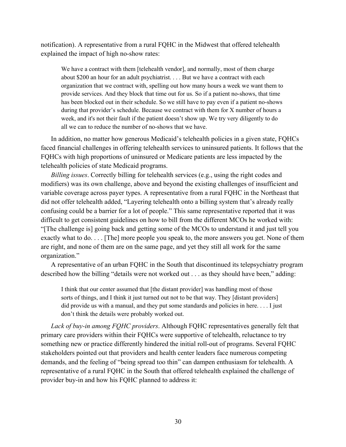notification). A representative from a rural FQHC in the Midwest that offered telehealth explained the impact of high no-show rates:

 We have a contract with them [telehealth vendor], and normally, most of them charge about \$200 an hour for an adult psychiatrist. . . . But we have a contract with each organization that we contract with, spelling out how many hours a week we want them to provide services. And they block that time out for us. So if a patient no-shows, that time has been blocked out in their schedule. So we still have to pay even if a patient no-shows week, and it's not their fault if the patient doesn't show up. We try very diligently to do all we can to reduce the number of no-shows that we have. during that provider's schedule. Because we contract with them for X number of hours a

In addition, no matter how generous Medicaid's telehealth policies in a given state, FQHCs faced financial challenges in offering telehealth services to uninsured patients. It follows that the FQHCs with high proportions of uninsured or Medicare patients are less impacted by the telehealth policies of state Medicaid programs.

*Billing issues*. Correctly billing for telehealth services (e.g., using the right codes and modifiers) was its own challenge, above and beyond the existing challenges of insufficient and variable coverage across payer types. A representative from a rural FQHC in the Northeast that did not offer telehealth added, "Layering telehealth onto a billing system that's already really confusing could be a barrier for a lot of people." This same representative reported that it was difficult to get consistent guidelines on how to bill from the different MCOs he worked with: "[The challenge is] going back and getting some of the MCOs to understand it and just tell you exactly what to do. . . . [The] more people you speak to, the more answers you get. None of them are right, and none of them are on the same page, and yet they still all work for the same organization."

A representative of an urban FQHC in the South that discontinued its telepsychiatry program described how the billing "details were not worked out . . . as they should have been," adding:

 I think that our center assumed that [the distant provider] was handling most of those did provide us with a manual, and they put some standards and policies in here. . . . I just sorts of things, and I think it just turned out not to be that way. They [distant providers] don't think the details were probably worked out.

*Lack of buy-in among FQHC providers*. Although FQHC representatives generally felt that primary care providers within their FQHCs were supportive of telehealth, reluctance to try something new or practice differently hindered the initial roll-out of programs. Several FQHC stakeholders pointed out that providers and health center leaders face numerous competing demands, and the feeling of "being spread too thin" can dampen enthusiasm for telehealth. A representative of a rural FQHC in the South that offered telehealth explained the challenge of provider buy-in and how his FQHC planned to address it: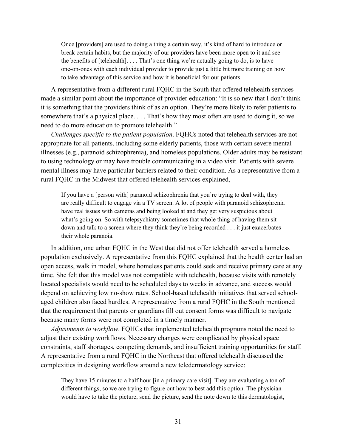Once [providers] are used to doing a thing a certain way, it's kind of hard to introduce or break certain habits, but the majority of our providers have been more open to it and see the benefits of [telehealth]. . . . That's one thing we're actually going to do, is to have one-on-ones with each individual provider to provide just a little bit more training on how to take advantage of this service and how it is beneficial for our patients.

 somewhere that's a physical place. . . . That's how they most often are used to doing it, so we A representative from a different rural FQHC in the South that offered telehealth services made a similar point about the importance of provider education: "It is so new that I don't think it is something that the providers think of as an option. They're more likely to refer patients to need to do more education to promote telehealth."

 mental illness may have particular barriers related to their condition. As a representative from a rural FQHC in the Midwest that offered telehealth services explained, *Challenges specific to the patient population*. FQHCs noted that telehealth services are not appropriate for all patients, including some elderly patients, those with certain severe mental illnesses (e.g., paranoid schizophrenia), and homeless populations. Older adults may be resistant to using technology or may have trouble communicating in a video visit. Patients with severe

 have real issues with cameras and being looked at and they get very suspicious about what's going on. So with telepsychiatry sometimes that whole thing of having them sit down and talk to a screen where they think they're being recorded . . . it just exacerbates If you have a [person with] paranoid schizophrenia that you're trying to deal with, they are really difficult to engage via a TV screen. A lot of people with paranoid schizophrenia their whole paranoia.

In addition, one urban FQHC in the West that did not offer telehealth served a homeless population exclusively. A representative from this FQHC explained that the health center had an open access, walk in model, where homeless patients could seek and receive primary care at any time. She felt that this model was not compatible with telehealth, because visits with remotely located specialists would need to be scheduled days to weeks in advance, and success would depend on achieving low no-show rates. School-based telehealth initiatives that served schoolaged children also faced hurdles. A representative from a rural FQHC in the South mentioned that the requirement that parents or guardians fill out consent forms was difficult to navigate because many forms were not completed in a timely manner.

*Adjustments to workflow*. FQHCs that implemented telehealth programs noted the need to adjust their existing workflows. Necessary changes were complicated by physical space constraints, staff shortages, competing demands, and insufficient training opportunities for staff. A representative from a rural FQHC in the Northeast that offered telehealth discussed the complexities in designing workflow around a new teledermatology service:

 They have 15 minutes to a half hour [in a primary care visit]. They are evaluating a ton of different things, so we are trying to figure out how to best add this option. The physician would have to take the picture, send the picture, send the note down to this dermatologist,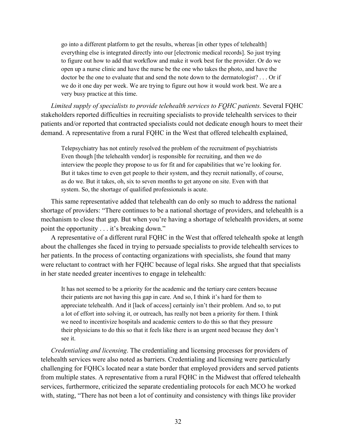go into a different platform to get the results, whereas [in other types of telehealth] open up a nurse clinic and have the nurse be the one who takes the photo, and have the doctor be the one to evaluate that and send the note down to the dermatologist? . . . Or if we do it one day per week. We are trying to figure out how it would work best. We are a very busy practice at this time. everything else is integrated directly into our [electronic medical records]. So just trying to figure out how to add that workflow and make it work best for the provider. Or do we

*Limited supply of specialists to provide telehealth services to FQHC patients.* Several FQHC stakeholders reported difficulties in recruiting specialists to provide telehealth services to their patients and/or reported that contracted specialists could not dedicate enough hours to meet their demand. A representative from a rural FQHC in the West that offered telehealth explained,

 Telepsychiatry has not entirely resolved the problem of the recruitment of psychiatrists Even though [the telehealth vendor] is responsible for recruiting, and then we do But it takes time to even get people to their system, and they recruit nationally, of course, as do we. But it takes, oh, six to seven months to get anyone on site. Even with that interview the people they propose to us for fit and for capabilities that we're looking for. system. So, the shortage of qualified professionals is acute.

 mechanism to close that gap. But when you're having a shortage of telehealth providers, at some point the opportunity . . . it's breaking down." This same representative added that telehealth can do only so much to address the national shortage of providers: "There continues to be a national shortage of providers, and telehealth is a

 about the challenges she faced in trying to persuade specialists to provide telehealth services to her patients. In the process of contacting organizations with specialists, she found that many in her state needed greater incentives to engage in telehealth: A representative of a different rural FQHC in the West that offered telehealth spoke at length were reluctant to contract with her FQHC because of legal risks. She argued that that specialists

 appreciate telehealth. And it [lack of access] certainly isn't their problem. And so, to put a lot of effort into solving it, or outreach, has really not been a priority for them. I think we need to incentivize hospitals and academic centers to do this so that they pressure their physicians to do this so that it feels like there is an urgent need because they don't It has not seemed to be a priority for the academic and the tertiary care centers because their patients are not having this gap in care. And so, I think it's hard for them to see it.

 services, furthermore, criticized the separate credentialing protocols for each MCO he worked *Credentialing and licensing*. The credentialing and licensing processes for providers of telehealth services were also noted as barriers. Credentialing and licensing were particularly challenging for FQHCs located near a state border that employed providers and served patients from multiple states. A representative from a rural FQHC in the Midwest that offered telehealth with, stating, "There has not been a lot of continuity and consistency with things like provider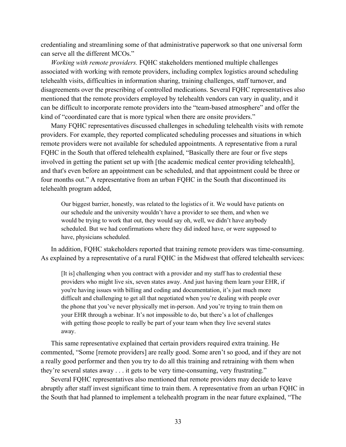can serve all the different MCOs." credentialing and streamlining some of that administrative paperwork so that one universal form

 mentioned that the remote providers employed by telehealth vendors can vary in quality, and it *Working with remote providers.* FQHC stakeholders mentioned multiple challenges associated with working with remote providers, including complex logistics around scheduling telehealth visits, difficulties in information sharing, training challenges, staff turnover, and disagreements over the prescribing of controlled medications. Several FQHC representatives also can be difficult to incorporate remote providers into the "team-based atmosphere" and offer the kind of "coordinated care that is more typical when there are onsite providers."

 providers. For example, they reported complicated scheduling processes and situations in which remote providers were not available for scheduled appointments. A representative from a rural FQHC in the South that offered telehealth explained, "Basically there are four or five steps Many FQHC representatives discussed challenges in scheduling telehealth visits with remote involved in getting the patient set up with [the academic medical center providing telehealth], and that's even before an appointment can be scheduled, and that appointment could be three or four months out." A representative from an urban FQHC in the South that discontinued its telehealth program added,

 Our biggest barrier, honestly, was related to the logistics of it. We would have patients on would be trying to work that out, they would say oh, well, we didn't have anybody have, physicians scheduled. our schedule and the university wouldn't have a provider to see them, and when we scheduled. But we had confirmations where they did indeed have, or were supposed to

In addition, FQHC stakeholders reported that training remote providers was time-consuming. As explained by a representative of a rural FQHC in the Midwest that offered telehealth services:

 [It is] challenging when you contract with a provider and my staff has to credential these providers who might live six, seven states away. And just having them learn your EHR, if difficult and challenging to get all that negotiated when you're dealing with people over the phone that you've never physically met in-person. And you're trying to train them on your EHR through a webinar. It's not impossible to do, but there's a lot of challenges with getting those people to really be part of your team when they live several states you're having issues with billing and coding and documentation, it's just much more away.

 they're several states away . . . it gets to be very time-consuming, very frustrating." This same representative explained that certain providers required extra training. He commented, "Some [remote providers] are really good. Some aren't so good, and if they are not a really good performer and then you try to do all this training and retraining with them when

 Several FQHC representatives also mentioned that remote providers may decide to leave abruptly after staff invest significant time to train them. A representative from an urban FQHC in the South that had planned to implement a telehealth program in the near future explained, "The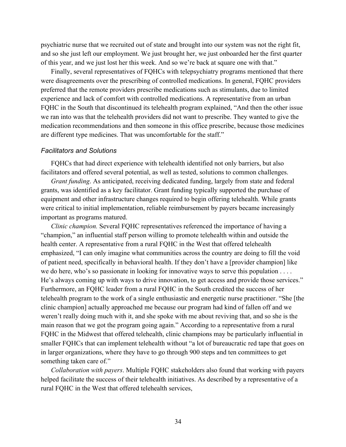of this year, and we just lost her this week. And so we're back at square one with that." psychiatric nurse that we recruited out of state and brought into our system was not the right fit, and so she just left our employment. We just brought her, we just onboarded her the first quarter

 experience and lack of comfort with controlled medications. A representative from an urban Finally, several representatives of FQHCs with telepsychiatry programs mentioned that there were disagreements over the prescribing of controlled medications. In general, FQHC providers preferred that the remote providers prescribe medications such as stimulants, due to limited FQHC in the South that discontinued its telehealth program explained, "And then the other issue we ran into was that the telehealth providers did not want to prescribe. They wanted to give the medication recommendations and then someone in this office prescribe, because those medicines are different type medicines. That was uncomfortable for the staff."

#### *Facilitators and Solutions*

 facilitators and offered several potential, as well as tested, solutions to common challenges. FQHCs that had direct experience with telehealth identified not only barriers, but also

*Grant funding*. As anticipated, receiving dedicated funding, largely from state and federal grants, was identified as a key facilitator. Grant funding typically supported the purchase of equipment and other infrastructure changes required to begin offering telehealth. While grants were critical to initial implementation, reliable reimbursement by payers became increasingly important as programs matured.

 *Clinic champion.* Several FQHC representatives referenced the importance of having a we do here, who's so passionate in looking for innovative ways to serve this population . . . . clinic champion] actually approached me because our program had kind of fallen off and we smaller FQHCs that can implement telehealth without "a lot of bureaucratic red tape that goes on in larger organizations, where they have to go through 900 steps and ten committees to get something taken care of." "champion," an influential staff person willing to promote telehealth within and outside the health center. A representative from a rural FQHC in the West that offered telehealth emphasized, "I can only imagine what communities across the country are doing to fill the void of patient need, specifically in behavioral health. If they don't have a [provider champion] like He's always coming up with ways to drive innovation, to get access and provide those services." Furthermore, an FQHC leader from a rural FQHC in the South credited the success of her telehealth program to the work of a single enthusiastic and energetic nurse practitioner. "She [the weren't really doing much with it, and she spoke with me about reviving that, and so she is the main reason that we got the program going again." According to a representative from a rural FQHC in the Midwest that offered telehealth, clinic champions may be particularly influential in

rural FQHC in the West that offered telehealth services,<br>34 *Collaboration with payers*. Multiple FQHC stakeholders also found that working with payers helped facilitate the success of their telehealth initiatives. As described by a representative of a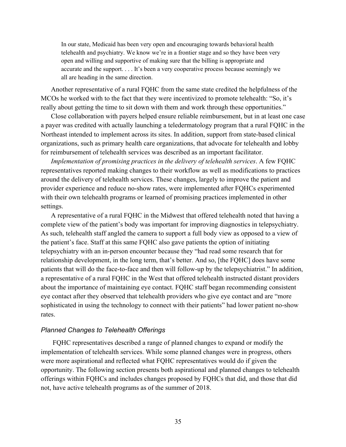In our state, Medicaid has been very open and encouraging towards behavioral health open and willing and supportive of making sure that the billing is appropriate and accurate and the support. . . . It's been a very cooperative process because seemingly we telehealth and psychiatry. We know we're in a frontier stage and so they have been very all are heading in the same direction.

 Another representative of a rural FQHC from the same state credited the helpfulness of the really about getting the time to sit down with them and work through these opportunities." MCOs he worked with to the fact that they were incentivized to promote telehealth: "So, it's

 for reimbursement of telehealth services was described as an important facilitator. Close collaboration with payers helped ensure reliable reimbursement, but in at least one case a payer was credited with actually launching a teledermatology program that a rural FQHC in the Northeast intended to implement across its sites. In addition, support from state-based clinical organizations, such as primary health care organizations, that advocate for telehealth and lobby

*Implementation of promising practices in the delivery of telehealth services*. A few FQHC representatives reported making changes to their workflow as well as modifications to practices around the delivery of telehealth services. These changes, largely to improve the patient and provider experience and reduce no-show rates, were implemented after FQHCs experimented with their own telehealth programs or learned of promising practices implemented in other settings.

A representative of a rural FQHC in the Midwest that offered telehealth noted that having a complete view of the patient's body was important for improving diagnostics in telepsychiatry. As such, telehealth staff angled the camera to support a full body view as opposed to a view of the patient's face. Staff at this same FQHC also gave patients the option of initiating telepsychiatry with an in-person encounter because they "had read some research that for relationship development, in the long term, that's better. And so, [the FQHC] does have some patients that will do the face-to-face and then will follow-up by the telepsychiatrist." In addition, a representative of a rural FQHC in the West that offered telehealth instructed distant providers about the importance of maintaining eye contact. FQHC staff began recommending consistent eye contact after they observed that telehealth providers who give eye contact and are "more sophisticated in using the technology to connect with their patients" had lower patient no-show rates.

#### *Planned Changes to Telehealth Offerings*

 offerings within FQHCs and includes changes proposed by FQHCs that did, and those that did FQHC representatives described a range of planned changes to expand or modify the implementation of telehealth services. While some planned changes were in progress, others were more aspirational and reflected what FQHC representatives would do if given the opportunity. The following section presents both aspirational and planned changes to telehealth not, have active telehealth programs as of the summer of 2018.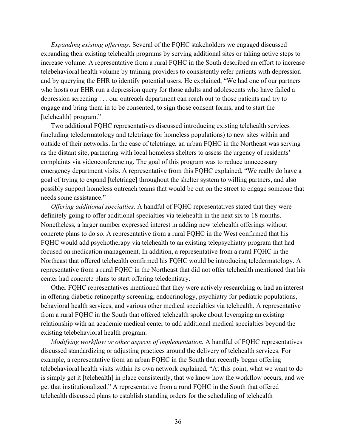engage and bring them in to be consented, to sign those consent forms, and to start the *Expanding existing offerings.* Several of the FQHC stakeholders we engaged discussed expanding their existing telehealth programs by serving additional sites or taking active steps to increase volume. A representative from a rural FQHC in the South described an effort to increase telebehavioral health volume by training providers to consistently refer patients with depression and by querying the EHR to identify potential users. He explained, "We had one of our partners who hosts our EHR run a depression query for those adults and adolescents who have failed a depression screening . . . our outreach department can reach out to those patients and try to [telehealth] program."

Two additional FQHC representatives discussed introducing existing telehealth services (including teledermatology and teletriage for homeless populations) to new sites within and outside of their networks. In the case of teletriage, an urban FQHC in the Northeast was serving as the distant site, partnering with local homeless shelters to assess the urgency of residents' complaints via videoconferencing. The goal of this program was to reduce unnecessary emergency department visits. A representative from this FQHC explained, "We really do have a goal of trying to expand [teletriage] throughout the shelter system to willing partners, and also possibly support homeless outreach teams that would be out on the street to engage someone that needs some assistance."

 center had concrete plans to start offering teledentistry. *Offering additional specialties.* A handful of FQHC representatives stated that they were definitely going to offer additional specialties via telehealth in the next six to 18 months. Nonetheless, a larger number expressed interest in adding new telehealth offerings without concrete plans to do so. A representative from a rural FQHC in the West confirmed that his FQHC would add psychotherapy via telehealth to an existing telepsychiatry program that had focused on medication management. In addition, a representative from a rural FQHC in the Northeast that offered telehealth confirmed his FQHC would be introducing teledermatology. A representative from a rural FQHC in the Northeast that did not offer telehealth mentioned that his

 relationship with an academic medical center to add additional medical specialties beyond the Other FQHC representatives mentioned that they were actively researching or had an interest in offering diabetic retinopathy screening, endocrinology, psychiatry for pediatric populations, behavioral health services, and various other medical specialties via telehealth. A representative from a rural FQHC in the South that offered telehealth spoke about leveraging an existing existing telebehavioral health program.

 telehealth discussed plans to establish standing orders for the scheduling of telehealth *Modifying workflow or other aspects of implementation.* A handful of FQHC representatives discussed standardizing or adjusting practices around the delivery of telehealth services. For example, a representative from an urban FQHC in the South that recently began offering telebehavioral health visits within its own network explained, "At this point, what we want to do is simply get it [telehealth] in place consistently, that we know how the workflow occurs, and we get that institutionalized." A representative from a rural FQHC in the South that offered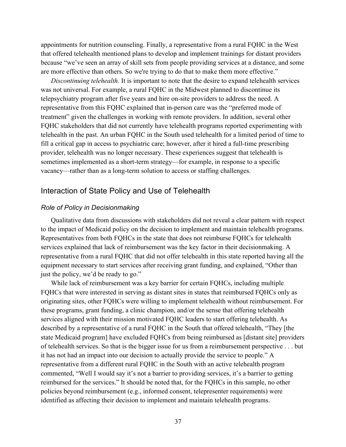appointments for nutrition counseling. Finally, a representative from a rural FQHC in the West that offered telehealth mentioned plans to develop and implement trainings for distant providers because "we've seen an array of skill sets from people providing services at a distance, and some are more effective than others. So we're trying to do that to make them more effective."

 vacancy—rather than as a long-term solution to access or staffing challenges. *Discontinuing telehealth.* It is important to note that the desire to expand telehealth services was not universal. For example, a rural FQHC in the Midwest planned to discontinue its telepsychiatry program after five years and hire on-site providers to address the need. A representative from this FQHC explained that in-person care was the "preferred mode of treatment" given the challenges in working with remote providers. In addition, several other FQHC stakeholders that did not currently have telehealth programs reported experimenting with telehealth in the past. An urban FQHC in the South used telehealth for a limited period of time to fill a critical gap in access to psychiatric care; however, after it hired a full-time prescribing provider, telehealth was no longer necessary. These experiences suggest that telehealth is sometimes implemented as a short-term strategy—for example, in response to a specific

#### Interaction of State Policy and Use of Telehealth

#### *Role of Policy in Decisionmaking*

just the policy, we'd be ready to go." Qualitative data from discussions with stakeholders did not reveal a clear pattern with respect to the impact of Medicaid policy on the decision to implement and maintain telehealth programs. Representatives from both FQHCs in the state that does not reimburse FQHCs for telehealth services explained that lack of reimbursement was the key factor in their decisionmaking. A representative from a rural FQHC that did not offer telehealth in this state reported having all the equipment necessary to start services after receiving grant funding, and explained, "Other than

 of telehealth services. So that is the bigger issue for us from a reimbursement perspective . . . but identified as affecting their decision to implement and maintain telehealth programs. While lack of reimbursement was a key barrier for certain FQHCs, including multiple FQHCs that were interested in serving as distant sites in states that reimbursed FQHCs only as originating sites, other FQHCs were willing to implement telehealth without reimbursement. For these programs, grant funding, a clinic champion, and/or the sense that offering telehealth services aligned with their mission motivated FQHC leaders to start offering telehealth. As described by a representative of a rural FQHC in the South that offered telehealth, "They [the state Medicaid program] have excluded FQHCs from being reimbursed as [distant site] providers it has not had an impact into our decision to actually provide the service to people." A representative from a different rural FQHC in the South with an active telehealth program commented, "Well I would say it's not a barrier to providing services, it's a barrier to getting reimbursed for the services." It should be noted that, for the FQHCs in this sample, no other policies beyond reimbursement (e.g., informed consent, telepresenter requirements) were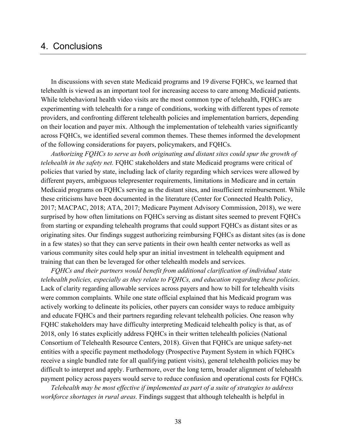## 4. Conclusions

In discussions with seven state Medicaid programs and 19 diverse FQHCs, we learned that telehealth is viewed as an important tool for increasing access to care among Medicaid patients. While telebehavioral health video visits are the most common type of telehealth, FQHCs are experimenting with telehealth for a range of conditions, working with different types of remote providers, and confronting different telehealth policies and implementation barriers, depending on their location and payer mix. Although the implementation of telehealth varies significantly across FQHCs, we identified several common themes. These themes informed the development of the following considerations for payers, policymakers, and FQHCs.

 *Authorizing FQHCs to serve as both originating and distant sites could spur the growth of telehealth in the safety net.* FQHC stakeholders and state Medicaid programs were critical of originating sites. Our findings suggest authorizing reimbursing FQHCs as distant sites (as is done policies that varied by state, including lack of clarity regarding which services were allowed by different payers, ambiguous telepresenter requirements, limitations in Medicare and in certain Medicaid programs on FQHCs serving as the distant sites, and insufficient reimbursement. While these criticisms have been documented in the literature (Center for Connected Health Policy, 2017; MACPAC, 2018; ATA, 2017; Medicare Payment Advisory Commission, 2018), we were surprised by how often limitations on FQHCs serving as distant sites seemed to prevent FQHCs from starting or expanding telehealth programs that could support FQHCs as distant sites or as in a few states) so that they can serve patients in their own health center networks as well as various community sites could help spur an initial investment in telehealth equipment and training that can then be leveraged for other telehealth models and services.

 Lack of clarity regarding allowable services across payers and how to bill for telehealth visits and educate FQHCs and their partners regarding relevant telehealth policies. One reason why payment policy across payers would serve to reduce confusion and operational costs for FQHCs. *FQHCs and their partners would benefit from additional clarification of individual state telehealth policies, especially as they relate to FQHCs, and education regarding these policies*. were common complaints. While one state official explained that his Medicaid program was actively working to delineate its policies, other payers can consider ways to reduce ambiguity FQHC stakeholders may have difficulty interpreting Medicaid telehealth policy is that, as of 2018, only 16 states explicitly address FQHCs in their written telehealth policies (National Consortium of Telehealth Resource Centers, 2018). Given that FQHCs are unique safety-net entities with a specific payment methodology (Prospective Payment System in which FQHCs receive a single bundled rate for all qualifying patient visits), general telehealth policies may be difficult to interpret and apply. Furthermore, over the long term, broader alignment of telehealth

*Telehealth may be most effective if implemented as part of a suite of strategies to address workforce shortages in rural areas.* Findings suggest that although telehealth is helpful in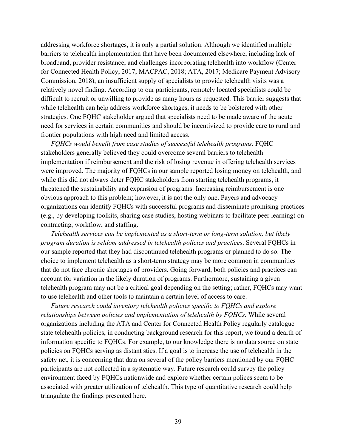difficult to recruit or unwilling to provide as many hours as requested. This barrier suggests that need for services in certain communities and should be incentivized to provide care to rural and addressing workforce shortages, it is only a partial solution. Although we identified multiple barriers to telehealth implementation that have been documented elsewhere, including lack of broadband, provider resistance, and challenges incorporating telehealth into workflow (Center for Connected Health Policy, 2017; MACPAC, 2018; ATA, 2017; Medicare Payment Advisory Commission, 2018), an insufficient supply of specialists to provide telehealth visits was a relatively novel finding. According to our participants, remotely located specialists could be while telehealth can help address workforce shortages, it needs to be bolstered with other strategies. One FQHC stakeholder argued that specialists need to be made aware of the acute frontier populations with high need and limited access.

 *FQHCs would benefit from case studies of successful telehealth programs.* FQHC threatened the sustainability and expansion of programs. Increasing reimbursement is one obvious approach to this problem; however, it is not the only one. Payers and advocacy stakeholders generally believed they could overcome several barriers to telehealth implementation if reimbursement and the risk of losing revenue in offering telehealth services were improved. The majority of FQHCs in our sample reported losing money on telehealth, and while this did not always deter FQHC stakeholders from starting telehealth programs, it organizations can identify FQHCs with successful programs and disseminate promising practices (e.g., by developing toolkits, sharing case studies, hosting webinars to facilitate peer learning) on contracting, workflow, and staffing.

*Telehealth services can be implemented as a short-term or long-term solution, but likely program duration is seldom addressed in telehealth policies and practices*. Several FQHCs in our sample reported that they had discontinued telehealth programs or planned to do so. The choice to implement telehealth as a short-term strategy may be more common in communities that do not face chronic shortages of providers. Going forward, both policies and practices can account for variation in the likely duration of programs. Furthermore, sustaining a given telehealth program may not be a critical goal depending on the setting; rather, FQHCs may want to use telehealth and other tools to maintain a certain level of access to care.

 organizations including the ATA and Center for Connected Health Policy regularly catalogue policies on FQHCs serving as distant sties. If a goal is to increase the use of telehealth in the environment faced by FQHCs nationwide and explore whether certain polices seem to be *Future research could inventory telehealth policies specific to FQHCs and explore relationships between policies and implementation of telehealth by FQHCs.* While several state telehealth policies, in conducting background research for this report, we found a dearth of information specific to FQHCs. For example, to our knowledge there is no data source on state safety net, it is concerning that data on several of the policy barriers mentioned by our FQHC participants are not collected in a systematic way. Future research could survey the policy associated with greater utilization of telehealth. This type of quantitative research could help triangulate the findings presented here.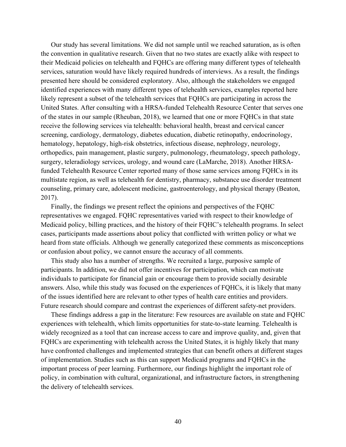of the states in our sample (Rheuban, 2018), we learned that one or more FQHCs in that state Our study has several limitations. We did not sample until we reached saturation, as is often the convention in qualitative research. Given that no two states are exactly alike with respect to their Medicaid policies on telehealth and FQHCs are offering many different types of telehealth services, saturation would have likely required hundreds of interviews. As a result, the findings presented here should be considered exploratory. Also, although the stakeholders we engaged identified experiences with many different types of telehealth services, examples reported here likely represent a subset of the telehealth services that FQHCs are participating in across the United States. After consulting with a HRSA-funded Telehealth Resource Center that serves one receive the following services via telehealth: behavioral health, breast and cervical cancer screening, cardiology, dermatology, diabetes education, diabetic retinopathy, endocrinology, hematology, hepatology, high-risk obstetrics, infectious disease, nephrology, neurology, orthopedics, pain management, plastic surgery, pulmonology, rheumatology, speech pathology, surgery, teleradiology services, urology, and wound care (LaMarche, 2018). Another HRSAfunded Telehealth Resource Center reported many of those same services among FQHCs in its multistate region, as well as telehealth for dentistry, pharmacy, substance use disorder treatment counseling, primary care, adolescent medicine, gastroenterology, and physical therapy (Beaton, 2017).

Finally, the findings we present reflect the opinions and perspectives of the FQHC representatives we engaged. FQHC representatives varied with respect to their knowledge of Medicaid policy, billing practices, and the history of their FQHC's telehealth programs. In select cases, participants made assertions about policy that conflicted with written policy or what we heard from state officials. Although we generally categorized these comments as misconceptions or confusion about policy, we cannot ensure the accuracy of all comments.

 This study also has a number of strengths. We recruited a large, purposive sample of participants. In addition, we did not offer incentives for participation, which can motivate individuals to participate for financial gain or encourage them to provide socially desirable answers. Also, while this study was focused on the experiences of FQHCs, it is likely that many of the issues identified here are relevant to other types of health care entities and providers. Future research should compare and contrast the experiences of different safety-net providers.

 experiences with telehealth, which limits opportunities for state-to-state learning. Telehealth is widely recognized as a tool that can increase access to care and improve quality, and, given that important process of peer learning. Furthermore, our findings highlight the important role of These findings address a gap in the literature: Few resources are available on state and FQHC FQHCs are experimenting with telehealth across the United States, it is highly likely that many have confronted challenges and implemented strategies that can benefit others at different stages of implementation. Studies such as this can support Medicaid programs and FQHCs in the policy, in combination with cultural, organizational, and infrastructure factors, in strengthening the delivery of telehealth services.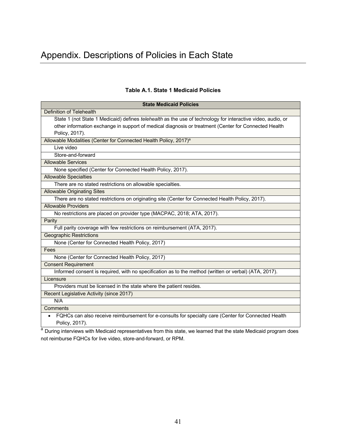#### **Table A.1. State 1 Medicaid Policies**

| <b>State Medicaid Policies</b>                                                                              |
|-------------------------------------------------------------------------------------------------------------|
| Definition of Telehealth                                                                                    |
| State 1 (not State 1 Medicaid) defines telehealth as the use of technology for interactive video, audio, or |
| other information exchange in support of medical diagnosis or treatment (Center for Connected Health        |
| Policy, 2017).                                                                                              |
| Allowable Modalities (Center for Connected Health Policy, 2017) <sup>a</sup>                                |
| Live video                                                                                                  |
| Store-and-forward                                                                                           |
| <b>Allowable Services</b>                                                                                   |
| None specified (Center for Connected Health Policy, 2017).                                                  |
| <b>Allowable Specialties</b>                                                                                |
| There are no stated restrictions on allowable specialties.                                                  |
| <b>Allowable Originating Sites</b>                                                                          |
| There are no stated restrictions on originating site (Center for Connected Health Policy, 2017).            |
| <b>Allowable Providers</b>                                                                                  |
| No restrictions are placed on provider type (MACPAC, 2018; ATA, 2017).                                      |
| Parity                                                                                                      |
| Full parity coverage with few restrictions on reimbursement (ATA, 2017).                                    |
| <b>Geographic Restrictions</b>                                                                              |
| None (Center for Connected Health Policy, 2017)                                                             |
| Fees                                                                                                        |
| None (Center for Connected Health Policy, 2017)                                                             |
| <b>Consent Requirement</b>                                                                                  |
| Informed consent is required, with no specification as to the method (written or verbal) (ATA, 2017).       |
| Licensure                                                                                                   |
| Providers must be licensed in the state where the patient resides.                                          |
| Recent Legislative Activity (since 2017)                                                                    |
| N/A                                                                                                         |
| Comments                                                                                                    |
| FQHCs can also receive reimbursement for e-consults for specialty care (Center for Connected Health         |
| Policy, 2017).                                                                                              |

 not reimburse FQHCs for live video, store-and-forward, or RPM. <sup>a</sup> During interviews with Medicaid representatives from this state, we learned that the state Medicaid program does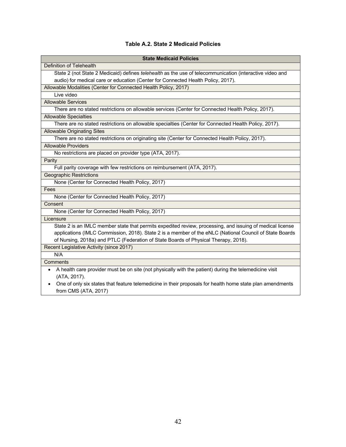#### **Table A.2. State 2 Medicaid Policies**

| <b>State Medicaid Policies</b>                                                                            |
|-----------------------------------------------------------------------------------------------------------|
| <b>Definition of Telehealth</b>                                                                           |
| State 2 (not State 2 Medicaid) defines telehealth as the use of telecommunication (interactive video and  |
| audio) for medical care or education (Center for Connected Health Policy, 2017).                          |
| Allowable Modalities (Center for Connected Health Policy, 2017)                                           |
| Live video                                                                                                |
| <b>Allowable Services</b>                                                                                 |
| There are no stated restrictions on allowable services (Center for Connected Health Policy, 2017).        |
| <b>Allowable Specialties</b>                                                                              |
| There are no stated restrictions on allowable specialties (Center for Connected Health Policy, 2017).     |
| <b>Allowable Originating Sites</b>                                                                        |
| There are no stated restrictions on originating site (Center for Connected Health Policy, 2017).          |
| <b>Allowable Providers</b>                                                                                |
| No restrictions are placed on provider type (ATA, 2017).                                                  |
| Parity                                                                                                    |
| Full parity coverage with few restrictions on reimbursement (ATA, 2017).                                  |
| <b>Geographic Restrictions</b>                                                                            |
| None (Center for Connected Health Policy, 2017)                                                           |
| Fees                                                                                                      |
| None (Center for Connected Health Policy, 2017)                                                           |
| Consent                                                                                                   |
| None (Center for Connected Health Policy, 2017)                                                           |
| Licensure                                                                                                 |
| State 2 is an IMLC member state that permits expedited review, processing, and issuing of medical license |
| applications (IMLC Commission, 2018). State 2 is a member of the eNLC (National Council of State Boards   |
| of Nursing, 2018a) and PTLC (Federation of State Boards of Physical Therapy, 2018).                       |
| Recent Legislative Activity (since 2017)                                                                  |
| N/A                                                                                                       |
| Comments                                                                                                  |
| A health care provider must be on site (not physically with the patient) during the telemedicine visit    |
| (ATA, 2017).                                                                                              |
| One of only six states that feature telemedicine in their proposals for health home state plan amendments |
| from CMS (ATA, 2017)                                                                                      |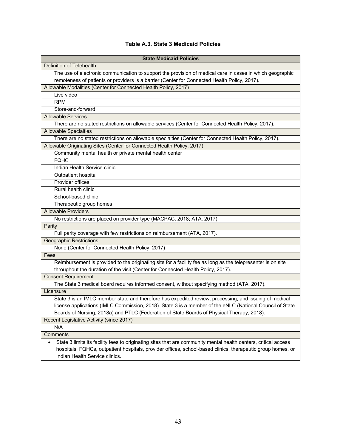#### **Table A.3. State 3 Medicaid Policies**

| <b>State Medicaid Policies</b>                                                                                                                                                                                                                                   |
|------------------------------------------------------------------------------------------------------------------------------------------------------------------------------------------------------------------------------------------------------------------|
| <b>Definition of Telehealth</b>                                                                                                                                                                                                                                  |
| The use of electronic communication to support the provision of medical care in cases in which geographic                                                                                                                                                        |
| remoteness of patients or providers is a barrier (Center for Connected Health Policy, 2017).                                                                                                                                                                     |
| Allowable Modalities (Center for Connected Health Policy, 2017)                                                                                                                                                                                                  |
| Live video                                                                                                                                                                                                                                                       |
| <b>RPM</b>                                                                                                                                                                                                                                                       |
| Store-and-forward                                                                                                                                                                                                                                                |
| <b>Allowable Services</b>                                                                                                                                                                                                                                        |
| There are no stated restrictions on allowable services (Center for Connected Health Policy, 2017).                                                                                                                                                               |
| <b>Allowable Specialties</b>                                                                                                                                                                                                                                     |
| There are no stated restrictions on allowable specialties (Center for Connected Health Policy, 2017).                                                                                                                                                            |
| Allowable Originating Sites (Center for Connected Health Policy, 2017)                                                                                                                                                                                           |
| Community mental health or private mental health center                                                                                                                                                                                                          |
| <b>FQHC</b>                                                                                                                                                                                                                                                      |
| Indian Health Service clinic                                                                                                                                                                                                                                     |
| Outpatient hospital                                                                                                                                                                                                                                              |
| Provider offices                                                                                                                                                                                                                                                 |
| Rural health clinic                                                                                                                                                                                                                                              |
| School-based clinic                                                                                                                                                                                                                                              |
| Therapeutic group homes                                                                                                                                                                                                                                          |
| <b>Allowable Providers</b>                                                                                                                                                                                                                                       |
| No restrictions are placed on provider type (MACPAC, 2018; ATA, 2017).                                                                                                                                                                                           |
| Parity                                                                                                                                                                                                                                                           |
| Full parity coverage with few restrictions on reimbursement (ATA, 2017).                                                                                                                                                                                         |
| <b>Geographic Restrictions</b>                                                                                                                                                                                                                                   |
| None (Center for Connected Health Policy, 2017)                                                                                                                                                                                                                  |
| Fees                                                                                                                                                                                                                                                             |
| Reimbursement is provided to the originating site for a facility fee as long as the telepresenter is on site<br>throughout the duration of the visit (Center for Connected Health Policy, 2017).                                                                 |
| <b>Consent Requirement</b>                                                                                                                                                                                                                                       |
| The State 3 medical board requires informed consent, without specifying method (ATA, 2017).                                                                                                                                                                      |
| Licensure                                                                                                                                                                                                                                                        |
| State 3 is an IMLC member state and therefore has expedited review, processing, and issuing of medical                                                                                                                                                           |
| license applications (IMLC Commission, 2018). State 3 is a member of the eNLC (National Council of State                                                                                                                                                         |
| Boards of Nursing, 2018a) and PTLC (Federation of State Boards of Physical Therapy, 2018).                                                                                                                                                                       |
| Recent Legislative Activity (since 2017)                                                                                                                                                                                                                         |
| N/A                                                                                                                                                                                                                                                              |
| Comments                                                                                                                                                                                                                                                         |
| State 3 limits its facility fees to originating sites that are community mental health centers, critical access<br>hospitals, FQHCs, outpatient hospitals, provider offices, school-based clinics, therapeutic group homes, or<br>Indian Health Service clinics. |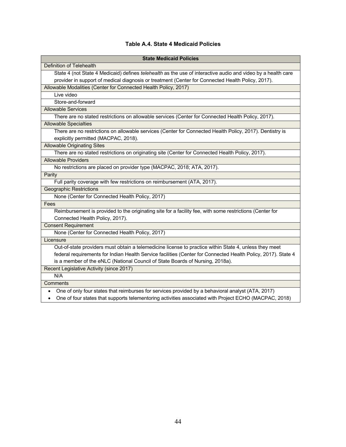#### **Table A.4. State 4 Medicaid Policies**

| <b>State Medicaid Policies</b>                                                                                                                                                                                                                                                                           |
|----------------------------------------------------------------------------------------------------------------------------------------------------------------------------------------------------------------------------------------------------------------------------------------------------------|
| <b>Definition of Telehealth</b>                                                                                                                                                                                                                                                                          |
| State 4 (not State 4 Medicaid) defines telehealth as the use of interactive audio and video by a health care                                                                                                                                                                                             |
| provider in support of medical diagnosis or treatment (Center for Connected Health Policy, 2017).                                                                                                                                                                                                        |
| Allowable Modalities (Center for Connected Health Policy, 2017)                                                                                                                                                                                                                                          |
| Live video                                                                                                                                                                                                                                                                                               |
| Store-and-forward                                                                                                                                                                                                                                                                                        |
| <b>Allowable Services</b>                                                                                                                                                                                                                                                                                |
| There are no stated restrictions on allowable services (Center for Connected Health Policy, 2017).                                                                                                                                                                                                       |
| <b>Allowable Specialties</b>                                                                                                                                                                                                                                                                             |
| There are no restrictions on allowable services (Center for Connected Health Policy, 2017). Dentistry is<br>explicitly permitted (MACPAC, 2018).                                                                                                                                                         |
| <b>Allowable Originating Sites</b>                                                                                                                                                                                                                                                                       |
| There are no stated restrictions on originating site (Center for Connected Health Policy, 2017).                                                                                                                                                                                                         |
| <b>Allowable Providers</b>                                                                                                                                                                                                                                                                               |
| No restrictions are placed on provider type (MACPAC, 2018; ATA, 2017).                                                                                                                                                                                                                                   |
| Parity                                                                                                                                                                                                                                                                                                   |
| Full parity coverage with few restrictions on reimbursement (ATA, 2017).                                                                                                                                                                                                                                 |
| <b>Geographic Restrictions</b>                                                                                                                                                                                                                                                                           |
| None (Center for Connected Health Policy, 2017)                                                                                                                                                                                                                                                          |
| Fees                                                                                                                                                                                                                                                                                                     |
| Reimbursement is provided to the originating site for a facility fee, with some restrictions (Center for<br>Connected Health Policy, 2017).                                                                                                                                                              |
| <b>Consent Requirement</b>                                                                                                                                                                                                                                                                               |
| None (Center for Connected Health Policy, 2017)                                                                                                                                                                                                                                                          |
| Licensure                                                                                                                                                                                                                                                                                                |
| Out-of-state providers must obtain a telemedicine license to practice within State 4, unless they meet<br>federal requirements for Indian Health Service facilities (Center for Connected Health Policy, 2017). State 4<br>is a member of the eNLC (National Council of State Boards of Nursing, 2018a). |
| Recent Legislative Activity (since 2017)                                                                                                                                                                                                                                                                 |
| N/A                                                                                                                                                                                                                                                                                                      |
| Comments                                                                                                                                                                                                                                                                                                 |
| One of only four states that reimburses for services provided by a behavioral analyst (ATA, 2017)<br>One of four states that supports telementoring activities associated with Project ECHO (MACPAC, 2018)                                                                                               |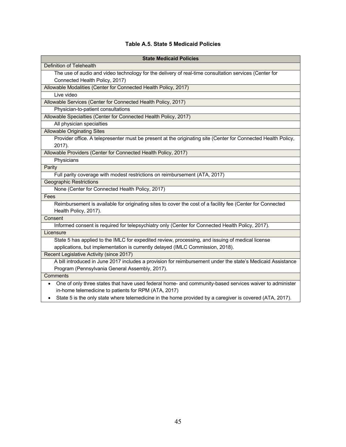#### **Table A.5. State 5 Medicaid Policies**

| <b>State Medicaid Policies</b>                                                                                                                                                     |
|------------------------------------------------------------------------------------------------------------------------------------------------------------------------------------|
| Definition of Telehealth                                                                                                                                                           |
| The use of audio and video technology for the delivery of real-time consultation services (Center for<br>Connected Health Policy, 2017)                                            |
| Allowable Modalities (Center for Connected Health Policy, 2017)                                                                                                                    |
| Live video                                                                                                                                                                         |
| Allowable Services (Center for Connected Health Policy, 2017)                                                                                                                      |
| Physician-to-patient consultations                                                                                                                                                 |
| Allowable Specialties (Center for Connected Health Policy, 2017)                                                                                                                   |
| All physician specialties                                                                                                                                                          |
| <b>Allowable Originating Sites</b>                                                                                                                                                 |
| Provider office. A telepresenter must be present at the originating site (Center for Connected Health Policy,<br>2017).                                                            |
| Allowable Providers (Center for Connected Health Policy, 2017)                                                                                                                     |
| Physicians                                                                                                                                                                         |
| Parity                                                                                                                                                                             |
| Full parity coverage with modest restrictions on reimbursement (ATA, 2017)                                                                                                         |
| <b>Geographic Restrictions</b>                                                                                                                                                     |
| None (Center for Connected Health Policy, 2017)                                                                                                                                    |
| Fees                                                                                                                                                                               |
| Reimbursement is available for originating sites to cover the cost of a facility fee (Center for Connected<br>Health Policy, 2017).                                                |
| Consent                                                                                                                                                                            |
| Informed consent is required for telepsychiatry only (Center for Connected Health Policy, 2017).                                                                                   |
| Licensure                                                                                                                                                                          |
| State 5 has applied to the IMLC for expedited review, processing, and issuing of medical license<br>applications, but implementation is currently delayed (IMLC Commission, 2018). |
| Recent Legislative Activity (since 2017)                                                                                                                                           |
| A bill introduced in June 2017 includes a provision for reimbursement under the state's Medicaid Assistance<br>Program (Pennsylvania General Assembly, 2017).                      |
| <b>Comments</b>                                                                                                                                                                    |
| One of only three states that have used federal home- and community-based services waiver to administer<br>$\bullet$<br>in-home telemedicine to patients for RPM (ATA, 2017)       |
| State 5 is the only state where telemedicine in the home provided by a caregiver is covered (ATA, 2017).                                                                           |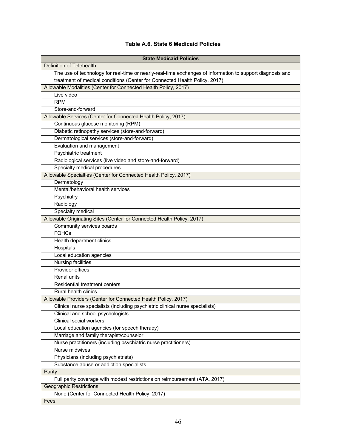#### **Table A.6. State 6 Medicaid Policies**

| <b>State Medicaid Policies</b>                                                                            |
|-----------------------------------------------------------------------------------------------------------|
| <b>Definition of Telehealth</b>                                                                           |
| The use of technology for real-time or nearly-real-time exchanges of information to support diagnosis and |
| treatment of medical conditions (Center for Connected Health Policy, 2017).                               |
| Allowable Modalities (Center for Connected Health Policy, 2017)                                           |
| Live video                                                                                                |
| <b>RPM</b>                                                                                                |
| Store-and-forward                                                                                         |
| Allowable Services (Center for Connected Health Policy, 2017)                                             |
| Continuous glucose monitoring (RPM)                                                                       |
| Diabetic retinopathy services (store-and-forward)                                                         |
| Dermatological services (store-and-forward)                                                               |
| Evaluation and management                                                                                 |
| Psychiatric treatment                                                                                     |
| Radiological services (live video and store-and-forward)                                                  |
| Specialty medical procedures                                                                              |
| Allowable Specialties (Center for Connected Health Policy, 2017)                                          |
| Dermatology                                                                                               |
| Mental/behavioral health services                                                                         |
| Psychiatry                                                                                                |
| Radiology                                                                                                 |
| Specialty medical                                                                                         |
| Allowable Originating Sites (Center for Connected Health Policy, 2017)                                    |
| Community services boards                                                                                 |
| <b>FQHCs</b>                                                                                              |
| Health department clinics                                                                                 |
| Hospitals                                                                                                 |
| Local education agencies                                                                                  |
| <b>Nursing facilities</b>                                                                                 |
| Provider offices                                                                                          |
| <b>Renal units</b>                                                                                        |
| <b>Residential treatment centers</b>                                                                      |
| <b>Rural health clinics</b>                                                                               |
| Allowable Providers (Center for Connected Health Policy, 2017)                                            |
| Clinical nurse specialists (including psychiatric clinical nurse specialists)                             |
| Clinical and school psychologists                                                                         |
| Clinical social workers                                                                                   |
| Local education agencies (for speech therapy)                                                             |
| Marriage and family therapist/counselor                                                                   |
| Nurse practitioners (including psychiatric nurse practitioners)                                           |
| Nurse midwives                                                                                            |
| Physicians (including psychiatrists)                                                                      |
| Substance abuse or addiction specialists                                                                  |
| Parity                                                                                                    |
| Full parity coverage with modest restrictions on reimbursement (ATA, 2017)                                |
| <b>Geographic Restrictions</b>                                                                            |
| None (Center for Connected Health Policy, 2017)                                                           |
| Fees                                                                                                      |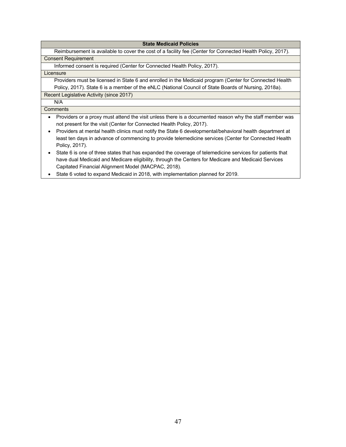#### **State Medicaid Policies**

 Reimbursement is available to cover the cost of a facility fee (Center for Connected Health Policy, 2017). Consent Requirement

Informed consent is required (Center for Connected Health Policy, 2017).

#### **Licensure**

 Providers must be licensed in State 6 and enrolled in the Medicaid program (Center for Connected Health Policy, 2017). State 6 is a member of the eNLC (National Council of State Boards of Nursing, 2018a).

Recent Legislative Activity (since 2017)

N/A

#### **Comments**

- • Providers or a proxy must attend the visit unless there is a documented reason why the staff member was not present for the visit (Center for Connected Health Policy, 2017).
- • Providers at mental health clinics must notify the State 6 developmental/behavioral health department at least ten days in advance of commencing to provide telemedicine services (Center for Connected Health Policy, 2017).
- • State 6 is one of three states that has expanded the coverage of telemedicine services for patients that have dual Medicaid and Medicare eligibility, through the Centers for Medicare and Medicaid Services Capitated Financial Alignment Model (MACPAC, 2018).
- State 6 voted to expand Medicaid in 2018, with implementation planned for 2019.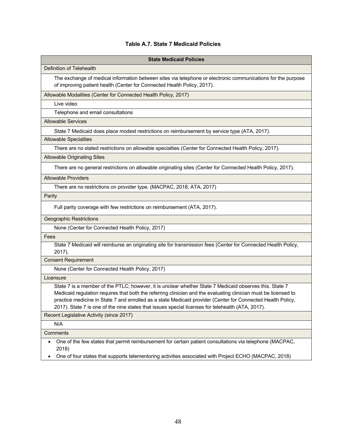#### **Table A.7. State 7 Medicaid Policies**

| <b>State Medicaid Policies</b>                                                                                                                                                                                                                                                                                                                                                                                                                 |
|------------------------------------------------------------------------------------------------------------------------------------------------------------------------------------------------------------------------------------------------------------------------------------------------------------------------------------------------------------------------------------------------------------------------------------------------|
| Definition of Telehealth                                                                                                                                                                                                                                                                                                                                                                                                                       |
| The exchange of medical information between sites via telephone or electronic communications for the purpose<br>of improving patient health (Center for Connected Health Policy, 2017).                                                                                                                                                                                                                                                        |
| Allowable Modalities (Center for Connected Health Policy, 2017)                                                                                                                                                                                                                                                                                                                                                                                |
| Live video                                                                                                                                                                                                                                                                                                                                                                                                                                     |
| Telephone and email consultations                                                                                                                                                                                                                                                                                                                                                                                                              |
| <b>Allowable Services</b>                                                                                                                                                                                                                                                                                                                                                                                                                      |
| State 7 Medicaid does place modest restrictions on reimbursement by service type (ATA, 2017).                                                                                                                                                                                                                                                                                                                                                  |
| <b>Allowable Specialties</b>                                                                                                                                                                                                                                                                                                                                                                                                                   |
| There are no stated restrictions on allowable specialties (Center for Connected Health Policy, 2017).                                                                                                                                                                                                                                                                                                                                          |
| <b>Allowable Originating Sites</b>                                                                                                                                                                                                                                                                                                                                                                                                             |
| There are no general restrictions on allowable originating sites (Center for Connected Health Policy, 2017).                                                                                                                                                                                                                                                                                                                                   |
| <b>Allowable Providers</b>                                                                                                                                                                                                                                                                                                                                                                                                                     |
| There are no restrictions on provider type. (MACPAC, 2018; ATA, 2017)                                                                                                                                                                                                                                                                                                                                                                          |
| Parity                                                                                                                                                                                                                                                                                                                                                                                                                                         |
| Full parity coverage with few restrictions on reimbursement (ATA, 2017).                                                                                                                                                                                                                                                                                                                                                                       |
| <b>Geographic Restrictions</b>                                                                                                                                                                                                                                                                                                                                                                                                                 |
| None (Center for Connected Health Policy, 2017)                                                                                                                                                                                                                                                                                                                                                                                                |
| Fees                                                                                                                                                                                                                                                                                                                                                                                                                                           |
| State 7 Medicaid will reimburse an originating site for transmission fees (Center for Connected Health Policy,<br>2017).                                                                                                                                                                                                                                                                                                                       |
| <b>Consent Requirement</b>                                                                                                                                                                                                                                                                                                                                                                                                                     |
| None (Center for Connected Health Policy, 2017)                                                                                                                                                                                                                                                                                                                                                                                                |
| Licensure                                                                                                                                                                                                                                                                                                                                                                                                                                      |
| State 7 is a member of the PTLC; however, it is unclear whether State 7 Medicaid observes this. State 7<br>Medicaid regulation requires that both the referring clinician and the evaluating clinician must be licensed to<br>practice medicine in State 7 and enrolled as a state Medicaid provider (Center for Connected Health Policy,<br>2017). State 7 is one of the nine states that issues special licenses for telehealth (ATA, 2017). |
| Recent Legislative Activity (since 2017)                                                                                                                                                                                                                                                                                                                                                                                                       |
| N/A                                                                                                                                                                                                                                                                                                                                                                                                                                            |
| Comments                                                                                                                                                                                                                                                                                                                                                                                                                                       |

 • One of the few states that permit reimbursement for certain patient consultations via telephone (MACPAC, 2018)

• One of four states that supports telementoring activities associated with Project ECHO (MACPAC, 2018)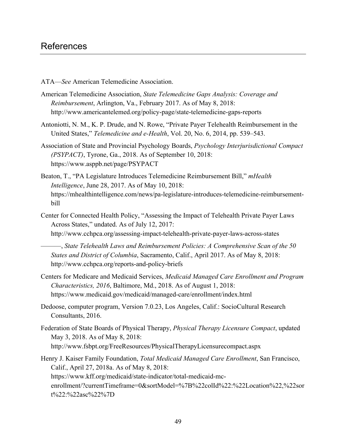- ATA—*See* American Telemedicine Association.
- American Telemedicine Association, *State Telemedicine Gaps Analysis: Coverage and Reimbursement*, Arlington, Va., February 2017. As of May 8, 2018: <http://www.americantelemed.org/policy-page/state-telemedicine-gaps-reports>
- Antoniotti, N. M., K. P. Drude, and N. Rowe, "Private Payer Telehealth Reimbursement in the United States," *Telemedicine and e-Health*, Vol. 20, No. 6, 2014, pp. 539–543.
- Association of State and Provincial Psychology Boards, *Psychology Interjurisdictional Compact (PSYPACT)*, Tyrone, Ga., 2018. As of September 10, 2018: <https://www.asppb.net/page/PSYPACT>
- Beaton, T., "PA Legislature Introduces Telemedicine Reimbursement Bill," *mHealth Intelligence*, June 28, 2017. As of May 10, 2018: [https://mhealthintelligence.com/news/pa-legislature-introduces-telemedicine-reimbursement](https://mhealthintelligence.com/news/pa-legislature-introduces-telemedicine-reimbursement-bill)[bill](https://mhealthintelligence.com/news/pa-legislature-introduces-telemedicine-reimbursement-bill)
- Across States," undated. As of July 12, 2017: Center for Connected Health Policy, "Assessing the Impact of Telehealth Private Payer Laws <http://www.cchpca.org/assessing-impact-telehealth-private-payer-laws-across-states>

———, *State Telehealth Laws and Reimbursement Policies: A Comprehensive Scan of the 50 States and District of Columbia*, Sacramento, Calif., April 2017. As of May 8, 2018: <http://www.cchpca.org/reports-and-policy-briefs>

- Centers for Medicare and Medicaid Services, *Medicaid Managed Care Enrollment and Program Characteristics, 2016*, Baltimore, Md., 2018. As of August 1, 2018: <https://www.medicaid.gov/medicaid/managed-care/enrollment/index.html>
- Dedoose, computer program, Version 7.0.23, Los Angeles, Calif.: SocioCultural Research Consultants, 2016.
- Federation of State Boards of Physical Therapy, *Physical Therapy Licensure Compact*, updated May 3, 2018. As of May 8, 2018: <http://www.fsbpt.org/FreeResources/PhysicalTherapyLicensurecompact.aspx>
- Henry J. Kaiser Family Foundation, *Total Medicaid Managed Care Enrollment*, San Francisco, Calif., April 27, 2018a. As of May 8, 2018: [https://www.kff.org/medicaid/state-indicator/total-medicaid-mc](https://www.kff.org/medicaid/state-indicator/total-medicaid-mc-enrollment/?currentTimeframe=0&sortModel=%7B%22colId%22:%22Location%22,%22sort%22:%22asc%22%7D)[enrollment/?currentTimeframe=0&sortModel=%7B%22colId%22:%22Location%22,%22sor](https://www.kff.org/medicaid/state-indicator/total-medicaid-mc-enrollment/?currentTimeframe=0&sortModel=%7B%22colId%22:%22Location%22,%22sort%22:%22asc%22%7D) t[%22:%22asc%22%7D](https://www.kff.org/medicaid/state-indicator/total-medicaid-mc-enrollment/?currentTimeframe=0&sortModel=%7B%22colId%22:%22Location%22,%22sort%22:%22asc%22%7D)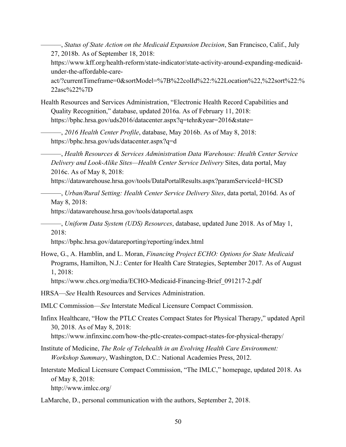27, 2018b. As of September 18, 2018: ———, *Status of State Action on the Medicaid Expansion Decision*, San Francisco, Calif., July [https://www.kff.org/health-reform/state-indicator/state-activity-around-expanding-medicaid](https://www.kff.org/health-reform/state-indicator/state-activity-around-expanding-medicaid-under-the-affordable-care-act/?currentTimeframe=0&sortModel=%7B%22colId%22:%22Location%22,%22sort%22:%22asc%22%7D)[under-the-affordable-care](https://www.kff.org/health-reform/state-indicator/state-activity-around-expanding-medicaid-under-the-affordable-care-act/?currentTimeframe=0&sortModel=%7B%22colId%22:%22Location%22,%22sort%22:%22asc%22%7D)[act/?currentTimeframe=0&sortModel=%7B%22colId%22:%22Location%22,%22sort%22:%](https://www.kff.org/health-reform/state-indicator/state-activity-around-expanding-medicaid-under-the-affordable-care-act/?currentTimeframe=0&sortModel=%7B%22colId%22:%22Location%22,%22sort%22:%22asc%22%7D)

[22asc%22%7D](https://www.kff.org/health-reform/state-indicator/state-activity-around-expanding-medicaid-under-the-affordable-care-act/?currentTimeframe=0&sortModel=%7B%22colId%22:%22Location%22,%22sort%22:%22asc%22%7D)

Health Resources and Services Administration, "Electronic Health Record Capabilities and Quality Recognition," database, updated 2016a. As of February 11, 2018: <https://bphc.hrsa.gov/uds2016/datacenter.aspx?q=tehr&year=2016&state>=

———, *2016 Health Center Profile*, database, May 2016b. As of May 8, 2018: <https://bphc.hrsa.gov/uds/datacenter.aspx?q=d>

———, *Health Resources & Services Administration Data Warehouse: Health Center Service Delivery and Look-Alike Sites—Health Center Service Delivery* Sites, data portal, May 2016c. As of May 8, 2018:

<https://datawarehouse.hrsa.gov/tools/DataPortalResults.aspx?paramServiceId=HCSD>

———, *Urban/Rural Setting: Health Center Service Delivery Sites*, data portal, 2016d. As of May 8, 2018:

<https://datawarehouse.hrsa.gov/tools/dataportal.aspx>

———, *Uniform Data System (UDS) Resources*, database, updated June 2018. As of May 1, 2018:

<https://bphc.hrsa.gov/datareporting/reporting/index.html>

Howe, G., A. Hamblin, and L. Moran, *Financing Project ECHO: Options for State Medicaid*  Programs, Hamilton, N.J.: Center for Health Care Strategies, September 2017. As of August 1, 2018:

[https://www.chcs.org/media/ECHO-Medicaid-Financing-Brief\\_091217-2.pdf](https://www.chcs.org/media/ECHO-Medicaid-Financing-Brief_091217-2.pdf)

HRSA—*See* Health Resources and Services Administration.

IMLC Commission—*See* Interstate Medical Licensure Compact Commission.

- Infinx Healthcare, "How the PTLC Creates Compact States for Physical Therapy," updated April 30, 2018. As of May 8, 2018: [https://www.infinxinc.com/how-the-ptlc-creates-compact-states-for-physical-therapy/](https://www.infinxinc.com/how-the-ptlc-creates-compact-states-for-physical-therapy)
- Institute of Medicine, *The Role of Telehealth in an Evolving Health Care Environment: Workshop Summary*, Washington, D.C.: National Academies Press, 2012.

Interstate Medical Licensure Compact Commission, "The IMLC," homepage, updated 2018. As of May 8, 2018: [http://www.imlcc.org/](http://www.imlcc.org)

LaMarche, D., personal communication with the authors, September 2, 2018.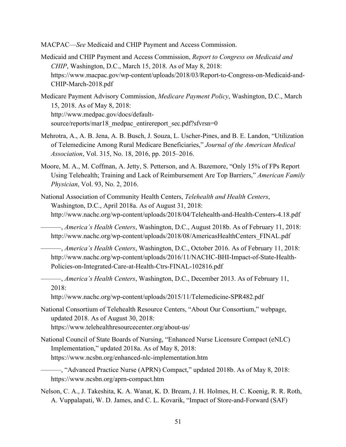MACPAC—*See* Medicaid and CHIP Payment and Access Commission.

- Medicaid and CHIP Payment and Access Commission, *Report to Congress on Medicaid and CHIP*, Washington, D.C., March 15, 2018. As of May 8, 2018: [https://www.macpac.gov/wp-content/uploads/2018/03/Report-to-Congress-on-Medicaid-and-](https://www.macpac.gov/wp-content/uploads/2018/03/Report-to-Congress-on-Medicaid-and-CHIP-March-2018.pdf)[CHIP-March-2018.pdf](https://www.macpac.gov/wp-content/uploads/2018/03/Report-to-Congress-on-Medicaid-and-CHIP-March-2018.pdf)
- Medicare Payment Advisory Commission, *Medicare Payment Policy*, Washington, D.C., March 15, 2018. As of May 8, 2018: [http://www.medpac.gov/docs/default](http://www.medpac.gov/docs/default-source/reports/mar18_medpac_entirereport_sec.pdf?sfvrsn=0)[source/reports/mar18\\_medpac\\_entirereport\\_sec.pdf?sfvrsn=0](http://www.medpac.gov/docs/default-source/reports/mar18_medpac_entirereport_sec.pdf?sfvrsn=0)
- Mehrotra, A., A. B. Jena, A. B. Busch, J. Souza, L. Uscher-Pines, and B. E. Landon, "Utilization of Telemedicine Among Rural Medicare Beneficiaries," *Journal of the American Medical Association*, Vol. 315, No. 18, 2016, pp. 2015–2016.
- *Physician*, Vol. 93, No. 2, 2016. Moore, M. A., M. Coffman, A. Jetty, S. Petterson, and A. Bazemore, "Only 15% of FPs Report Using Telehealth; Training and Lack of Reimbursement Are Top Barriers," *American Family*
- National Association of Community Health Centers, *Telehealth and Health Centers*, Washington, D.C., April 2018a. As of August 31, 2018: <http://www.nachc.org/wp-content/uploads/2018/04/Telehealth-and-Health-Centers-4.18.pdf>
	- ———, *America's Health Centers*, Washington, D.C., August 2018b. As of February 11, 2018: [http://www.nachc.org/wp-content/uploads/2018/08/AmericasHealthCenters\\_FINAL.pdf](http://www.nachc.org/wp-content/uploads/2018/08/AmericasHealthCenters_FINAL.pdf)
	- ———, *America's Health Centers*, Washington, D.C., October 2016. As of February 11, 2018: [http://www.nachc.org/wp-content/uploads/2016/11/NACHC-BHI-Impact-of-State-Health-](http://www.nachc.org/wp-content/uploads/2016/11/NACHC-BHI-Impact-of-State-Health-Policies-on-Integrated-Care-at-Health-Ctrs-FINAL-102816.pdf)[Policies-on-Integrated-Care-at-Health-Ctrs-FINAL-102816.pdf](http://www.nachc.org/wp-content/uploads/2016/11/NACHC-BHI-Impact-of-State-Health-Policies-on-Integrated-Care-at-Health-Ctrs-FINAL-102816.pdf)
	- ———, *America's Health Centers*, Washington, D.C., December 2013. As of February 11, 2018:

<http://www.nachc.org/wp-content/uploads/2015/11/Telemedicine-SPR482.pdf>

- National Consortium of Telehealth Resource Centers, "About Our Consortium," webpage, updated 2018. As of August 30, 2018: [https://www.telehealthresourcecenter.org/about-us/](https://www.telehealthresourcecenter.org/about-us)
- National Council of State Boards of Nursing, "Enhanced Nurse Licensure Compact (eNLC) Implementation," updated 2018a. As of May 8, 2018: <https://www.ncsbn.org/enhanced-nlc-implementation.htm>

———, "Advanced Practice Nurse (APRN) Compact," updated 2018b. As of May 8, 2018: <https://www.ncsbn.org/aprn-compact.htm>

Nelson, C. A., J. Takeshita, K. A. Wanat, K. D. Bream, J. H. Holmes, H. C. Koenig, R. R. Roth, A. Vuppalapati, W. D. James, and C. L. Kovarik, "Impact of Store-and-Forward (SAF)